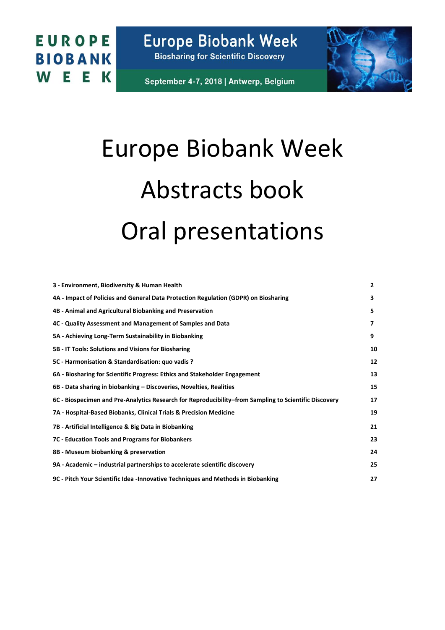**Europe Biobank Week Biosharing for Scientific Discovery** 

September 4-7, 2018 | Antwerp, Belgium



# Europe Biobank Week Abstracts book Oral presentations

| 3 - Environment, Biodiversity & Human Health                                                          | $\overline{2}$ |
|-------------------------------------------------------------------------------------------------------|----------------|
| 4A - Impact of Policies and General Data Protection Regulation (GDPR) on Biosharing                   | 3              |
| 4B - Animal and Agricultural Biobanking and Preservation                                              | 5              |
| 4C - Quality Assessment and Management of Samples and Data                                            | 7              |
| 5A - Achieving Long-Term Sustainability in Biobanking                                                 | 9              |
| 5B - IT Tools: Solutions and Visions for Biosharing                                                   | 10             |
| 5C - Harmonisation & Standardisation: quo vadis ?                                                     | 12             |
| 6A - Biosharing for Scientific Progress: Ethics and Stakeholder Engagement                            | 13             |
| 6B - Data sharing in biobanking – Discoveries, Novelties, Realities                                   | 15             |
| 6C - Biospecimen and Pre-Analytics Research for Reproducibility–from Sampling to Scientific Discovery | 17             |
| 7A - Hospital-Based Biobanks, Clinical Trials & Precision Medicine                                    | 19             |
| 7B - Artificial Intelligence & Big Data in Biobanking                                                 | 21             |
| 7C - Education Tools and Programs for Biobankers                                                      | 23             |
| 8B - Museum biobanking & preservation                                                                 | 24             |
| 9A - Academic – industrial partnerships to accelerate scientific discovery                            | 25             |
| 9C - Pitch Your Scientific Idea - Innovative Techniques and Methods in Biobanking                     | 27             |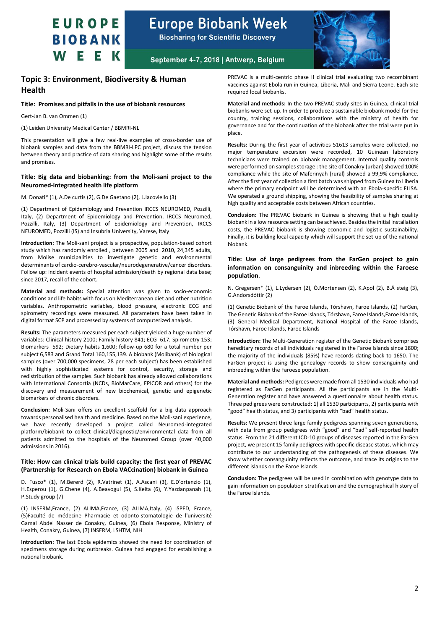

**Biosharing for Scientific Discovery** 



September 4-7, 2018 | Antwerp, Belgium

### <span id="page-1-0"></span>**Topic 3: Environment, Biodiversity & Human Health**

#### **Title: Promises and pitfalls in the use of biobank resources**

Gert-Jan B. van Ommen (1)

(1) Leiden University Medical Center / BBMRI-NL

This presentation will give a few real-live examples of cross-border use of biobank samples and data from the BBMRI-LPC project, discuss the tension between theory and practice of data sharing and highlight some of the results and promises.

#### **Title: Big data and biobanking: from the Moli-sani project to the Neuromed-integrated health life platform**

M. Donati\* (1), A.De curtis (2), G.De Gaetano (2), L.Iacoviello (3)

(1) Department of Epidemiology and Prevention IRCCS NEUROMED, Pozzilli, Italy, (2) Department of Epidemiology and Prevention, IRCCS Neuromed, Pozzilli, Italy, (3) Department of Epidemiology and Prevention, IRCCS NEUROMED, Pozzilli (IS) and Insubria University, Varese, Italy

**Introduction:** The Moli-sani project is a prospective, population-based cohort study which has randomly enrolled , between 2005 and 2010, 24,345 adults, from Molise municipalities to investigate genetic and environmental determinants of cardio-cerebro-vascular/neurodegenerative/cancer disorders. Follow up: incident events of hospital admission/death by regional data base; since 2017, recall of the cohort.

**Material and methods:** Special attention was given to socio-economic conditions and life habits with focus on Mediterranean diet and other nutrition variables. Anthropometric variables, blood pressure, electronic ECG and spirometry recordings were measured. All parameters have been taken in digital format SCP and processed by systems of computerized analysis.

**Results:** The parameters measured per each subject yielded a huge number of variables: Clinical history 2100; Family history 841; ECG 617; Spirometry 153; Biomarkers 592; Dietary habits 1,600; follow-up 680 for a total number per subject 6,583 and Grand Total 160,155,139. A biobank (Molibank) of biological samples (over 700,000 specimens, 28 per each subject) has been established with highly sophisticated systems for control, security, storage and redistribution of the samples. Such biobank has already allowed collaborations with International Consortia (NCDs, BioMarCare, EPICOR and others) for the discovery and measurement of new biochemical, genetic and epigenetic biomarkers of chronic disorders.

**Conclusion:** Moli-Sani offers an excellent scaffold for a big data approach towards personalised health and medicine. Based on the Moli-sani experience, we have recently developed a project called Neuromed-integrated platform/biobank to collect clinical/diagnostic/environmental data from all patients admitted to the hospitals of the Neuromed Group (over 40,000 admissions in 2016).

#### **Title: How can clinical trials build capacity: the first year of PREVAC (Partnership for Research on Ebola VACcination) biobank in Guinea**

D. Fusco\* (1), M.Bererd (2), R.Vatrinet (1), A.Ascani (3), E.D'ortenzio (1), H.Esperou (1), G.Chene (4), A.Beavogui (5), S.Keita (6), Y.Yazdanpanah (1), P.Study group (7)

(1) INSERM,France, (2) ALIMA,France, (3) ALIMA,Italy, (4) ISPED, France, (5)Faculté de médecine Pharmacie et odonto-stomatologie de l'université Gamal Abdel Nasser de Conakry, Guinea, (6) Ebola Response, Ministry of Health, Conakry, Guinea, (7) INSERM, LSHTM, NIH

**Introduction:** The last Ebola epidemics showed the need for coordination of specimens storage during outbreaks. Guinea had engaged for establishing a national biobank.

PREVAC is a multi-centric phase II clinical trial evaluating two recombinant vaccines against Ebola run in Guinea, Liberia, Mali and Sierra Leone. Each site required local biobanks.

**Material and methods:** In the two PREVAC study sites in Guinea, clinical trial biobanks were set-up. In order to produce a sustainable biobank model for the country, training sessions, collaborations with the ministry of health for governance and for the continuation of the biobank after the trial were put in place.

**Results:** During the first year of activities 51613 samples were collected, no major temperature excursion were recorded, 10 Guinean laboratory technicians were trained on biobank management. Internal quality controls were performed on samples storage : the site of Conakry (urban) showed 100% compliance while the site of Maferinyah (rural) showed a 99,9% compliance. After the first year of collection a first batch was shipped from Guinea to Liberia where the primary endpoint will be determined with an Ebola-specific ELISA. We operated a ground shipping, showing the feasibility of samples sharing at high quality and acceptable costs between African countries.

**Conclusion:** The PREVAC biobank in Guinea is showing that a high quality biobank in a low resource setting can be achieved. Besides the initial installation costs, the PREVAC biobank is showing economic and logistic sustainability. Finally, it is building local capacity which will support the set-up of the national biobank.

#### **Title: Use of large pedigrees from the FarGen project to gain information on consanguinity and inbreeding within the Faroese population**.

N. Gregersen\* (1), L.Lydersen (2), Ó.Mortensen (2), K.Apol (2), B.Á steig (3), G.Andorsdóttir (2)

(1) Genetic Biobank of the Faroe Islands, Tórshavn, Faroe Islands, (2) FarGen, The Genetic Biobank of the Faroe Islands, Tórshavn, Faroe Islands,Faroe Islands, (3) General Medical Department, National Hospital of the Faroe Islands, Tórshavn, Faroe Islands, Faroe Islands

**Introduction:** The Multi-Generation register of the Genetic Biobank comprises hereditary records of all individuals registered in the Faroe Islands since 1800; the majority of the individuals (85%) have records dating back to 1650. The FarGen project is using the genealogy records to show consanguinity and inbreeding within the Faroese population.

**Material and methods:** Pedigrees were made from all 1530 individuals who had registered as FarGen participants. All the participants are in the Multi-Generation register and have answered a questionnaire about health status. Three pedigrees were constructed: 1) all 1530 participants, 2) participants with "good" health status, and 3) participants with "bad" health status.

**Results:** We present three large family pedigrees spanning seven generations, with data from group pedigrees with "good" and "bad" self-reported health status. From the 21 different ICD-10 groups of diseases reported in the FarGen project, we present 15 family pedigrees with specific disease status, which may contribute to our understanding of the pathogenesis of these diseases. We show whether consanguinity reflects the outcome, and trace its origins to the different islands on the Faroe Islands.

**Conclusion:** The pedigrees will be used in combination with genotype data to gain information on population stratification and the demographical history of the Faroe Islands.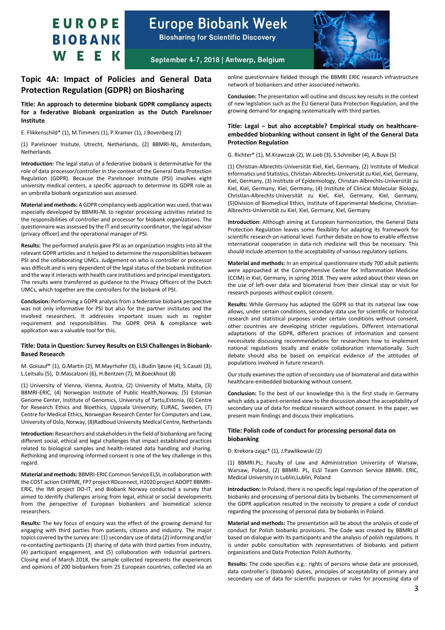# **Europe Biobank Week**

**Biosharing for Scientific Discovery** 



September 4-7, 2018 | Antwerp, Belgium

### <span id="page-2-0"></span>**Topic 4A: Impact of Policies and General Data Protection Regulation (GDPR) on Biosharing**

**Title: An approach to determine biobank GDPR compliancy aspects for a federative Biobank organization as the Dutch Parelsnoer Institute**

E. Flikkenschild\* (1), M.Timmers (1), P.Kramer (1), J.Bovenberg (2)

(1) Parelsnoer Insitute, Utrecht, Netherlands, (2) BBMRI-NL, Amsterdam, **Netherlands** 

**Introduction:** The legal status of a federative biobank is determinative for the role of data processor/controller in the context of the General Data Protection Regulation (GDPR). Because the Parelsnoer Institute (PSI) involves eight university medical centers, a specific approach to determine its GDPR role as an umbrella biobank organization was assessed.

**Material and methods:** A GDPR compliancy web application was used, that was especially developed by BBMRI-NL to register processing activities related to the responsibilities of controller and processor for biobank organizations. The questionnaire was assessed by the IT and security coordinator, the legal advisor (privacy officer) and the operational manager of PSI.

**Results:** The performed analysis gave PSI as an organization insights into all the relevant GDPR articles and it helped to determine the responsibilities between PSI and the collaborating UMCs. Judgement on who is controller or processor was difficult and is very dependent of the legal status of the biobank institution and the way it interacts with health care institutions and principal investigators. The results were transferred as guidance to the Privacy Officers of the Dutch UMCs, which together are the controllers for the biobank of PSI.

**Conclusion:** Performing a GDPR analysis from a federative biobank perspective was not only informative for PSI but also for the partner institutes and the involved researchers. It addresses important issues such as register requirement and responsibilities. The GDPR DPIA & compliance web application was a valuable tool for this.

#### **Title: Data in Question: Survey Results on ELSI Challenges in Biobank-Based Research**

M. Goisauf\* (1), G.Martin (2), M.Mayrhofer (3), I.Budin ljøsne (4), S.Casati (3), L.Leitsalu (5), D.Mascalzoni (6), H.Bentzen (7), M.Boeckhout (8)

(1) University of Vienna, Vienna, Austria, (2) University of Malta, Malta, (3) BBMRI-ERIC, (4) Norwegian Institute of Public Health,Norway, (5) Estonian Genome Center, Institute of Genomics, University of Tartu,Estonia, (6) Centre for Research Ethics and Bioethics, Uppsala University; EURAC, Sweden, (7) Centre for Medical Ethics, Norwegian Research Center for Computers and Law, University of Oslo, Norway, (8)Radboud University Medical Centre, Netherlands

**Introduction:** Researchers and stakeholders in the field of biobanking are facing different social, ethical and legal challenges that impact established practices related to biological samples and health-related data handling and sharing. Rethinking and improving informed consent is one of the key challenge in this regard.

**Material and methods:** BBMRI-ERIC Common Service ELSI, in collaboration with the COST action CHIPME, FP7 project RDconnect, H2020 project ADOPT BBMRI-ERIC, the IMI project DO-IT, and Biobank Norway conducted a survey that aimed to identify challenges arising from legal, ethical or social developments from the perspective of European biobankers and biomedical science researchers.

**Results:** The key focus of enquiry was the effect of the growing demand for engaging with third parties from patients, citizens and industry. The major topics covered by the survey are: (1) secondary use of data (2) informing and/or re-contacting participants (3) sharing of data with third parties from industry, (4) participant engagement, and (5) collaboration with industrial partners. Closing end of March 2018, the sample collected represents the experiences and opinions of 200 biobankers from 25 European countries, collected via an online questionnaire fielded through the BBMRI ERIC research infrastructure network of biobankers and other associated networks.

**Conclusion:** The presentation will outline and discuss key results in the context of new legislation such as the EU General Data Protection Regulation, and the growing demand for engaging systematically with third parties.

#### **Title: Legal – but also acceptable? Empirical study on healthcareembedded biobanking without consent in light of the General Data Protection Regulation**

G. Richter\* (1), M.Krawczak (2), W.Lieb (3), S.Schreiber (4), A.Buyx (5)

(1) Christian-Albrechts-Universität Kiel, Kiel, Germany, (2) Institute of Medical Informatics und Statistics, Christan-Albrechts-Universität zu Kiel, Kiel, Germany, Kiel, Germany, (3) Institute of Epidemiology, Christan-Albrechts-Universität zu Kiel, Kiel, Germany, Kiel, Germany, (4) Institute of Clinical Molecular Biology, Christian-Albrechts-Universität zu Kiel, Kiel, Germany, Kiel, Germany, (5)Division of Biomedical Ethics, Institute of Experimental Medicine, Christian-Albrechts-Universität zu Kiel, Kiel, Germany, Kiel, Germany

**Introduction:** Although aiming at European harmonization, the General Data Protection Regulation leaves some flexibility for adapting its framework for scientific research on national level. Further debate on how to enable effective international cooperation in data-rich medicine will thus be necessary. This should include attention to the acceptability of various regulatory options.

**Material and methods:** In an empirical questionnaire study 700 adult patients were approached at the Comprehensive Center for Inflammation Medicine (CCIM) in Kiel, Germany, in spring 2018. They were asked about their views on the use of left-over data and biomaterial from their clinical stay or visit for research purposes without explicit consent.

**Results:** While Germany has adapted the GDPR so that its national law now allows, under certain conditions, secondary data use for scientific or historical research and statistical purposes under certain conditions without consent, other countries are developing stricter regulations. Different international adaptations of the GDPR, different practices of information and consent necessitate discussing recommendations for researchers how to implement national regulations locally and enable collaboration internationally. Such debate should also be based on empirical evidence of the attitudes of populations involved in future research.

Our study examines the option of secondary use of biomaterial and data within healthcare-embedded biobanking without consent.

**Conclusion:** To the best of our knowledge this is the first study in Germany which adds a patient-oriented view to the discussion about the acceptability of secondary use of data for medical research without consent. In the paper, we present main findings and discuss their implications.

#### **Title: Polish code of conduct for processing personal data on biobanking**

D. Krekora-zając\* (1), J.Pawlikowski (2)

(1) BBMRI.PL; Faculty of Law and Administration University of Warsaw, Warsaw, Poland, (2) BBMRI. PL, ELSI Team Common Service BBMRI. ERIC, Medical University in Lublin,Lublin, Poland

**Introduction:** In Poland, there is no specific legal regulation of the operation of biobanks and processing of personal data by biobanks. The commencement of the GDPR application resulted in the necessity to prepare a code of conduct regarding the processing of personal data by biobanks in Poland.

**Material and methods:** The presentation will be about the analysis of code of conduct for Polish biobanks provisions. The Code was created by BBMRI.pl based on dialogue with its participants and the analysis of polish regulations. It is under public consultation with representatives of biobanks and patient organizations and Data Protection Polish Authority.

**Results:** The code specifies e.g.: rights of persons whose data are processed, data controller's (biobank) duties, principles of acceptability of primary and secondary use of data for scientific purposes or rules for processing data of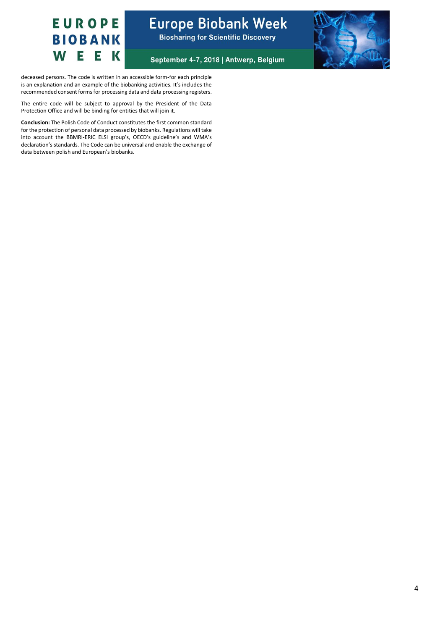

### **Europe Biobank Week Biosharing for Scientific Discovery**



September 4-7, 2018 | Antwerp, Belgium

deceased persons. The code is written in an accessible form-for each principle is an explanation and an example of the biobanking activities. It's includes the recommended consent forms for processing data and data processing registers.

The entire code will be subject to approval by the President of the Data Protection Office and will be binding for entities that will join it.

**Conclusion:** The Polish Code of Conduct constitutes the first common standard for the protection of personal data processed by biobanks. Regulations will take into account the BBMRI-ERIC ELSI group's, OECD's guideline's and WMA's declaration's standards. The Code can be universal and enable the exchange of data between polish and European's biobanks.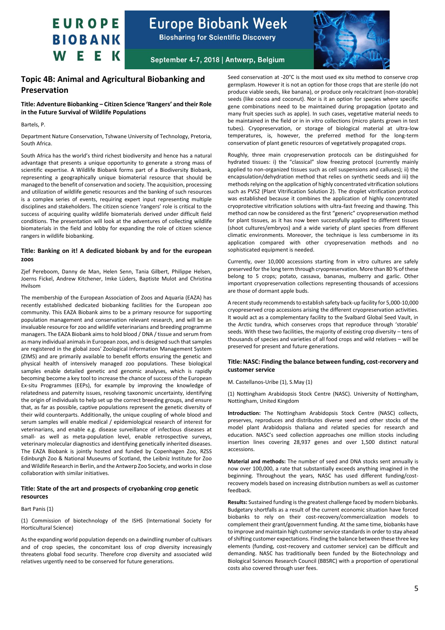

**Biosharing for Scientific Discovery** 



September 4-7, 2018 | Antwerp, Belgium

### <span id="page-4-0"></span>**Topic 4B: Animal and Agricultural Biobanking and Preservation**

**Title: Adventure Biobanking – Citizen Science 'Rangers' and their Role in the Future Survival of Wildlife Populations**

Bartels, P.

Department Nature Conservation, Tshwane University of Technology, Pretoria, South Africa.

South Africa has the world's third richest biodiversity and hence has a natural advantage that presents a unique opportunity to generate a strong mass of scientific expertise. A Wildlife Biobank forms part of a Biodiversity Biobank, representing a geographically unique biomaterial resource that should be managed to the benefit of conservation and society. The acquisition, processing and utilization of wildlife genetic resources and the banking of such resources is a complex series of events, requiring expert input representing multiple disciplines and stakeholders. The citizen science 'rangers' role is critical to the success of acquiring quality wildlife biomaterials derived under difficult field conditions. The presentation will look at the adventures of collecting wildlife biomaterials in the field and lobby for expanding the role of citizen science rangers in wildlife biobanking.

#### **Title: Banking on it! A dedicated biobank by and for the european zoos**

Zjef Pereboom, Danny de Man, Helen Senn, Tania Gilbert, Philippe Helsen, Joerns Fickel, Andrew Kitchener, Imke Lüders, Baptiste Mulot and Christina Hvilsom

The membership of the European Association of Zoos and Aquaria (EAZA) has recently established dedicated biobanking facilities for the European zoo community. This EAZA Biobank aims to be a primary resource for supporting population management and conservation relevant research, and will be an invaluable resource for zoo and wildlife veterinarians and breeding programme managers. The EAZA Biobank aims to hold blood / DNA / tissue and serum from as many individual animals in European zoos, and is designed such that samples are registered in the global zoos' Zoological Information Management System (ZIMS) and are primarily available to benefit efforts ensuring the genetic and physical health of intensively managed zoo populations. These biological samples enable detailed genetic and genomic analyses, which is rapidly becoming become a key tool to increase the chance of success of the European Ex-situ Programmes (EEPs), for example by improving the knowledge of relatedness and paternity issues, resolving taxonomic uncertainty, identifying the origin of individuals to help set up the correct breeding groups, and ensure that, as far as possible, captive populations represent the genetic diversity of their wild counterparts. Additionally, the unique coupling of whole blood and serum samples will enable medical / epidemiological research of interest for veterinarians, and enable e.g. disease surveillance of infectious diseases at small- as well as meta-population level, enable retrospective surveys, veterinary molecular diagnostics and identifying genetically inherited diseases. The EAZA Biobank is jointly hosted and funded by Copenhagen Zoo, RZSS Edinburgh Zoo & National Museums of Scotland, the Leibniz Institute for Zoo and Wildlife Research in Berlin, and the Antwerp Zoo Society, and works in close collaboration with similar initiatives.

#### **Title: State of the art and prospects of cryobanking crop genetic resources**

Bart Panis (1)

(1) Commission of biotechnology of the ISHS (International Society for Horticultural Science)

As the expanding world population depends on a dwindling number of cultivars and of crop species, the concomitant loss of crop diversity increasingly threatens global food security. Therefore crop diversity and associated wild relatives urgently need to be conserved for future generations.

Seed conservation at -20°C is the most used ex situ method to conserve crop germplasm. However it is not an option for those crops that are sterile (do not produce viable seeds, like banana), or produce only recalcitrant (non-storable) seeds (like cocoa and coconut). Nor is it an option for species where specific gene combinations need to be maintained during propagation (potato and many fruit species such as apple). In such cases, vegetative material needs to be maintained in the field or in in vitro collections (micro plants grown in test tubes). Cryopreservation, or storage of biological material at ultra-low temperatures, is, however, the preferred method for the long-term conservation of plant genetic resources of vegetatively propagated crops.

Roughly, three main cryopreservation protocols can be distinguished for hydrated tissues: i) the "classical" slow freezing protocol (currently mainly applied to non-organized tissues such as cell suspensions and calluses); ii) the encapsulation/dehydration method that relies on synthetic seeds and iii) the methods relying on the application of highly concentrated vitrification solutions such as PVS2 (Plant Vitrification Solution 2). The droplet vitrification protocol was established because it combines the application of highly concentrated cryoprotective vitrification solutions with ultra-fast freezing and thawing. This method can now be considered as the first "generic" cryopreservation method for plant tissues, as it has now been successfully applied to different tissues (shoot cultures/embryos) and a wide variety of plant species from different climatic environments. Moreover, the technique is less cumbersome in its application compared with other cryopreservation methods and no sophisticated equipment is needed.

Currently, over 10,000 accessions starting from in vitro cultures are safely preserved for the long term through cryopreservation. More than 80 % of these belong to 5 crops; potato, cassava, bananas, mulberry and garlic. Other important cryopreservation collections representing thousands of accessions are those of dormant apple buds.

A recent study recommends to establish safety back-up facility for 5,000-10,000 cryopreserved crop accessions arising the different cryopreservation activities. It would act as a complementary facility to the Svalbard Global Seed Vault, in the Arctic tundra, which conserves crops that reproduce through 'storable' seeds. With these two facilities, the majority of existing crop diversity – tens of thousands of species and varieties of all food crops and wild relatives – will be preserved for present and future generations.

#### **Title: NASC: Finding the balance between funding, cost-recorvery and customer service**

#### M. Castellanos-Uribe (1), S.May (1)

(1) Nottingham Arabidopsis Stock Centre (NASC). University of Nottingham, Nottingham, United Kingdom

**Introduction:** The Nottingham Arabidopsis Stock Centre (NASC) collects, preserves, reproduces and distributes diverse seed and other stocks of the model plant Arabidopsis thaliana and related species for research and education. NASC's seed collection approaches one million stocks including insertion lines covering 28,937 genes and over 1,500 distinct natural accessions.

**Material and methods:** The number of seed and DNA stocks sent annually is now over 100,000, a rate that substantially exceeds anything imagined in the beginning. Throughout the years, NASC has used different funding/costrecovery models based on increasing distribution numbers as well as customer feedback.

**Results:** Sustained funding is the greatest challenge faced by modern biobanks. Budgetary shortfalls as a result of the current economic situation have forced biobanks to rely on their cost-recovery/commercialization models to complement their grant/government funding. At the same time, biobanks have to improve and maintain high customer service standards in order to stay ahead of shifting customer expectations. Finding the balance between these three key elements (funding, cost-recovery and customer service) can be difficult and demanding. NASC has traditionally been funded by the Biotechnology and Biological Sciences Research Council (BBSRC) with a proportion of operational costs also covered through user fees.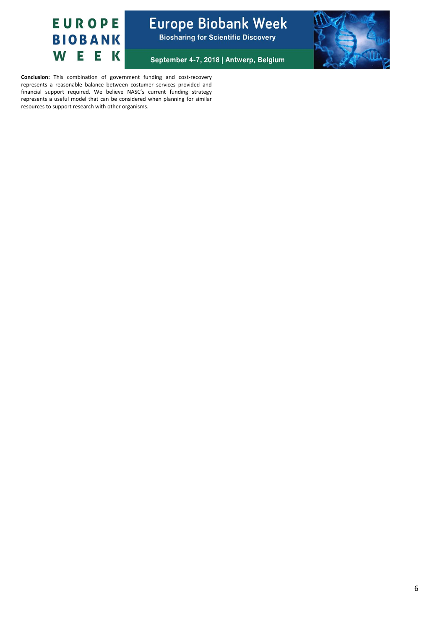

**Europe Biobank Week Biosharing for Scientific Discovery** 

September 4-7, 2018 | Antwerp, Belgium



**Conclusion:** This combination of government funding and cost-recovery represents a reasonable balance between costumer services provided and financial support required. We believe NASC's current funding strategy represents a useful model that can be considered when planning for similar resources to support research with other organisms.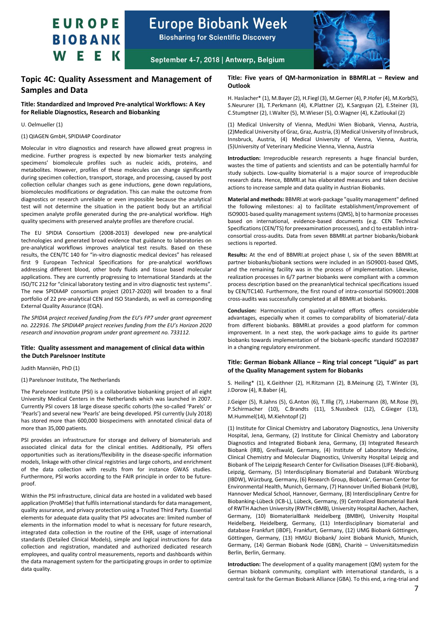

**Biosharing for Scientific Discovery** 



September 4-7, 2018 | Antwerp, Belgium

### <span id="page-6-0"></span>**Topic 4C: Quality Assessment and Management of Samples and Data**

#### **Title: Standardized and Improved Pre-analytical Workflows: A Key for Reliable Diagnostics, Research and Biobanking**

#### U. Oelmueller (1)

(1) QIAGEN GmbH, SPIDIA4P Coordinator

Molecular in vitro diagnostics and research have allowed great progress in medicine. Further progress is expected by new biomarker tests analyzing specimens' biomolecule profiles such as nucleic acids, proteins, and metabolites. However, profiles of these molecules can change significantly during specimen collection, transport, storage, and processing, caused by post collection cellular changes such as gene inductions, gene down regulations, biomolecules modifications or degradation. This can make the outcome from diagnostics or research unreliable or even impossible because the analytical test will not determine the situation in the patient body but an artificial specimen analyte profile generated during the pre-analytical workflow. High quality specimens with preserved analyte profiles are therefore crucial.

The EU SPIDIA Consortium (2008-2013) developed new pre-analytical technologies and generated broad evidence that guidance to laboratories on pre-analytical workflows improves analytical test results. Based on these results, the CEN/TC 140 for "in-vitro diagnostic medical devices" has released first 9 European Technical Specifications for pre-analytical workflows addressing different blood, other body fluids and tissue based molecular applications. They are currently progressing to International Standards at the ISO/TC 212 for "clinical laboratory testing and in vitro diagnostic test systems". The new SPIDIA4P consortium project (2017-2020) will broaden to a final portfolio of 22 pre-analytical CEN and ISO Standards, as well as corresponding External Quality Assurance (EQA).

*The SPIDIA project received funding from the EU's FP7 under grant agreement no. 222916. The SPIDIA4P project receives funding from the EU's Horizon 2020 research and innovation program under grant agreement no. 733112.*

#### **Title: Quality assessment and management of clinical data within the Dutch Parelsnoer Institute**

Judith Manniën, PhD (1)

#### (1) Parelsnoer Institute, The Netherlands

The Parelsnoer Institute (PSI) is a collaborative biobanking project of all eight University Medical Centers in the Netherlands which was launched in 2007. Currently PSI covers 18 large disease specific cohorts (the so-called 'Parels' or 'Pearls') and several new 'Pearls' are being developed. PSI currently (July 2018) has stored more than 600,000 biospecimens with annotated clinical data of more than 35,000 patients.

PSI provides an infrastructure for storage and delivery of biomaterials and associated clinical data for the clinical entities. Additionally, PSI offers opportunities such as iterations/flexibility in the disease-specific information models, linkage with other clinical registries and large cohorts, and enrichment of the data collection with results from for instance GWAS studies. Furthermore, PSI works according to the FAIR principle in order to be futureproof.

Within the PSI infrastructure, clinical data are hosted in a validated web based application (ProMISe) that fulfils international standards for data management, quality assurance, and privacy protection using a Trusted Third Party. Essential elements for adequate data quality that PSI advocates are: limited number of elements in the information model to what is necessary for future research, integrated data collection in the routine of the EHR, usage of international standards (Detailed Clinical Models), simple and logical instructions for data collection and registration, mandated and authorized dedicated research employees, and quality control measurements, reports and dashboards within the data management system for the participating groups in order to optimize data quality.

#### **Title: Five years of QM-harmonization in BBMRI.at – Review and Outlook**

H. Haslacher\* (1), M.Bayer (2), H.Fiegl (3), M.Gerner (4), P.Hofer (4), M.Korb(5), S.Neururer (3), T.Perkmann (4), K.Plattner (2), K.Sargsyan (2), E.Steiner (3), C.Stumptner (2), I.Walter (5), M.Wieser (5), O.Wagner (4), K.Zatloukal (2)

(1) Medical University of Vienna, MedUni Wien Biobank, Vienna, Austria, (2)Medical University of Graz, Graz, Austria, (3) Medical University of Innsbruck, Innsbruck, Austria, (4) Medical University of Vienna, Vienna, Austria, (5)University of Veterinary Medicine Vienna, Vienna, Austria

**Introduction:** Irreproducible research represents a huge financial burden, wastes the time of patients and scientists and can be potentially harmful for study subjects. Low-quality biomaterial is a major source of irreproducible research data. Hence, BBMRI.at has elaborated measures and taken decisive actions to increase sample and data quality in Austrian Biobanks.

**Material and methods:** BBMRI.at work-package "quality management" defined the following milestones: a) to facilitate establishment/improvement of ISO9001-based quality management systems (QMS), b) to harmonize processes based on international, evidence-based documents (e.g. CEN Technical Specifications (CEN/TS) for preexamination processes), and c) to establish intraconsortial cross-audits. Data from seven BBMRI.at partner biobanks/biobank sections is reported.

**Results:** At the end of BBMRI.at project phase I, six of the seven BBMRI.at partner biobanks/biobank sections were included in an ISO9001-based QMS, and the remaining facility was in the process of implementation. Likewise, realization processes in 6/7 partner biobanks were compliant with a common process description based on the preananlytical technical specifications issued by CEN/TC140. Furthermore, the first round of intra-consortial ISO9001:2008 cross-audits was successfully completed at all BBMRI.at biobanks.

**Conclusion:** Harmonization of quality-related efforts offers considerable advantages, especially when it comes to comparability of biomaterial/-data from different biobanks. BBMRI.at provides a good platform for common improvement. In a next step, the work-package aims to guide its partner biobanks towards implementation of the biobank-specific standard ISO20387 in a changing regulatory environment.

#### **Title: German Biobank Alliance – Ring trial concept "Liquid" as part of the Quality Management system for Biobanks**

S. Heiling\* (1), K.Geithner (2), H.Ritzmann (2), B.Meinung (2), T.Winter (3), J.Dorow (4), R.Baber (4),

J.Geiger (5), R.Jahns (5), G.Anton (6), T.Illig (7), J.Habermann (8), M.Rose (9), P.Schirmacher (10), C.Brandts (11), S.Nussbeck (12), C.Gieger (13), M.Hummel(14), M.Kiehntopf (2)

(1) Institute for Clinical Chemistry and Laboratory Diagnostics, Jena University Hospital, Jena, Germany, (2) Institute for Clinical Chemistry and Laboratory Diagnostics and Integrated Biobank Jena, Germany, (3) Integrated Research Biobank (IRB), Greifswald, Germany, (4) Institute of Laboratory Medicine, Clinical Chemistry and Molecular Diagnostics, University Hospital Leipzig and Biobank of The Leipzig Research Center for Civilisation Diseases (LIFE-Biobank), Leipzig, Germany, (5) Interdisciplinary Biomaterial and Databank Würzburg (IBDW), Würzburg, Germany, (6) Research Group, Biobank', German Center for Environmental Health, Munich, Germany, (7) Hannover Unified Biobank (HUB), Hannover Medical School, Hannover, Germany, (8) Interdisciplinary Centre for Biobanking-Lübeck (ICB-L), Lübeck, Germany, (9) Centralized Biomaterial Bank of RWTH Aachen University (RWTH cBMB), University Hospital Aachen, Aachen, Germany, (10) BiomaterialBank Heidelberg (BMBH), University Hospital Heidelberg, Heidelberg, Germany, (11) Interdisciplinary biomaterial and database Frankfurt (iBDF), Frankfurt, Germany, (12) UMG Biobank Göttingen, Göttingen, Germany, (13) HMGU Biobank/ Joint Biobank Munich, Munich, Germany, (14) German Biobank Node (GBN), Charitè – Universitätsmedizin Berlin, Berlin, Germany.

**Introduction:** The development of a quality management (QM) system for the German biobank community, compliant with international standards, is a central task for the German Biobank Alliance (GBA). To this end, a ring-trial and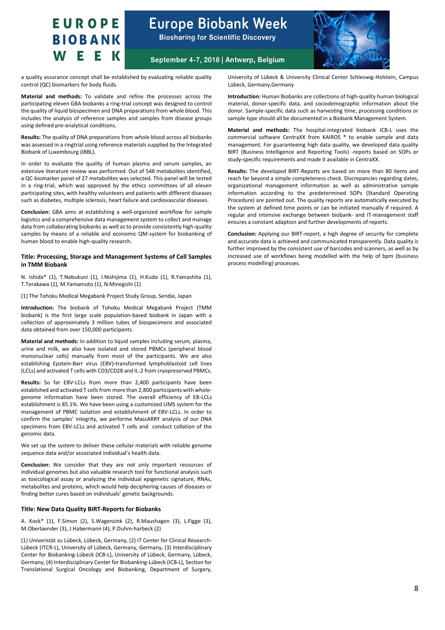### **Europe Biobank Week Biosharing for Scientific Discovery**



September 4-7, 2018 | Antwerp, Belgium

a quality assurance concept shall be established by evaluating reliable quality control (QC) biomarkers for body fluids.

**Material and methods:** To validate and refine the processes across the participating eleven GBA biobanks a ring-trial concept was designed to control the quality of liquid biospecimen and DNA preparations from whole blood. This includes the analysis of reference samples and samples from disease groups using defined pre-analytical conditions.

**Results:** The quality of DNA preparations from whole blood across all biobanks was assessed in a ringtrial using reference materials supplied by the Integrated Biobank of Luxembourg (IBBL).

In order to evaluate the quality of human plasma and serum samples, an extensive literature review was performed. Out of 548 metabolites identified, a QC-biomarker panel of 27 metabolites was selected. This panel will be tested in a ring-trial, which was approved by the ethics committees of all eleven participating sites, with healthy volunteers and patients with different diseases such as diabetes, multiple sclerosis, heart failure and cardiovascular diseases.

**Conclusion:** GBA aims at establishing a well-organized workflow for sample logistics and a comprehensive data management system to collect and manage data from collaborating biobanks as well as to provide consistently high-quality samples by means of a reliable and economic QM-system for biobanking of human blood to enable high-quality research.

#### **Title: Processing, Storage and Management Systems of Cell Samples in TMM Biobank**

N. Ishida\* (1), T.Nobukuni (1), I.Nishijima (1), H.Kudo (1), R.Yamashita (1), T.Terakawa (1), M.Yamamoto (1), N.Minegishi (1)

(1) The Tohoku Medical Megabank Project Study Group, Sendai, Japan

**Introduction:** The biobank of Tohoku Medical Megabank Project (TMM biobank) is the first large scale population-based biobank in Japan with a collection of approximately 3 million tubes of biospecimens and associated data obtained from over 150,000 participants.

**Material and methods:** In addition to liquid samples including serum, plasma, urine and milk, we also have isolated and stored PBMCs (peripheral blood mononuclear cells) manually from most of the participants. We are also establishing Epstein-Barr virus (EBV)-transformed lymphoblastoid cell lines (LCLs) and activated T cells with CD3/CD28 and IL-2 from cryopreserved PBMCs.

**Results:** So far EBV-LCLs from more than 2,400 participants have been established and activated T cells from more than 2,800 participants with wholegenome information have been stored. The overall efficiency of EB-LCLs establishment is 85.1%. We have been using a customized LIMS system for the management of PBMC isolation and establishment of EBV-LCLs. In order to confirm the samples' integrity, we performe MassARRY analysis of our DNA specimens from EBV-LCLs and activated T cells and conduct collation of the genomic data.

We set up the system to deliver these cellular materials with reliable genome sequence data and/or associated individual's health data.

**Conclusion:** We consider that they are not only important resources of individual genomes but also valuable research tool for functional analysis such as toxicological assay or analyzing the individual epigenetic signature, RNAs, metabolites and proteins, which would help deciphering causes of diseases or finding better cures based on individuals' genetic backgrounds.

#### **Title: New Data Quality BIRT-Reports for Biobanks**

A. Kock\* (1), F.Simon (2), S.Wagenzink (2), R.Maushagen (3), L.Figge (3), M.Oberlaender (3), J.Habermann (4), P.Duhm-harbeck (2)

(1) Univeristät zu Lübeck, Lübeck, Germany, (2) IT Center for Clinical Research-Lübeck (ITCR-L), University of Lübeck, Germany, Germany, (3) Interdisciplinary Center for Biobanking-Lübeck (ICB-L), University of Lübeck, Germany, Lübeck, Germany, (4) Interdisciplinary Center for Biobanking-Lübeck (ICB-L), Section for Translational Surgical Oncology and Biobanking, Department of Surgery,

University of Lübeck & University Clinical Center Schleswig-Holstein, Campus Lübeck, Germany,Germany

**Introduction:** Human Biobanks are collections of high-quality human biological material, donor-specific data, and sociodemographic information about the donor. Sample-specific data such as harvesting time, processing conditions or sample type should all be documented in a Biobank Management System.

**Material and methods:** The hospital-integrated biobank ICB-L uses the commercial software CentraXX from KAIROS ® to enable sample and data management. For guaranteeing high data quality, we developed data quality BIRT (Business Intelligence and Reporting Tools) -reports based on SOPs or study-specific requirements and made it available in CentraXX.

**Results:** The developed BIRT-Reports are based on more than 80 items and reach far beyond a simple completeness check. Discrepancies regarding dates, organizational management information as well as administrative sample information according to the predetermined SOPs (Standard Operating Procedure) are pointed out. The quality reports are automatically executed by the system at defined time points or can be initiated manually if required. A regular and intensive exchange between biobank- and IT-management staff ensures a constant adaption and further developments of reports.

**Conclusion:** Applying our BIRT-report, a high degree of security for complete and accurate data is achieved and communicated transparently. Data quality is further improved by the consistent use of barcodes and scanners, as well as by increased use of workflows being modelled with the help of bpm (business process modelling) processes.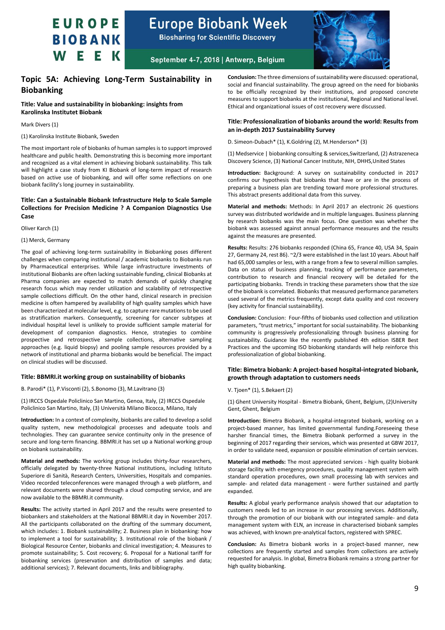

**Biosharing for Scientific Discovery** 



### September 4-7, 2018 | Antwerp, Belgium

### <span id="page-8-0"></span>**Topic 5A: Achieving Long-Term Sustainability in Biobanking**

**Title: Value and sustainability in biobanking: insights from Karolinska Institutet Biobank**

Mark Divers (1)

(1) Karolinska Institute Biobank, Sweden

The most important role of biobanks of human samples is to support improved healthcare and public health. Demonstrating this is becoming more important and recognized as a vital element in achieving biobank sustainability. This talk will highlight a case study from KI Biobank of long-term impact of research based on active use of biobanking, and will offer some reflections on one biobank facility's long journey in sustainability.

#### **Title: Can a Sustainable Biobank Infrastructure Help to Scale Sample Collections for Precision Medicine ? A Companion Diagnostics Use Case**

Oliver Karch (1)

#### (1) Merck, Germany

The goal of achieving long-term sustainability in Biobanking poses different challenges when comparing institutional / academic biobanks to Biobanks run by Pharmaceutical enterprises. While large infrastructure investments of institutional Biobanks are often lacking sustainable funding, clinical Biobanks at Pharma companies are expected to match demands of quickly changing research focus which may render utilization and scalability of retrospective sample collections difficult. On the other hand, clinical research in precision medicine is often hampered by availability of high quality samples which have been characterized at molecular level, e.g. to capture rare mutations to be used as stratification markers. Consequently, screening for cancer subtypes at individual hospital level is unlikely to provide sufficient sample material for development of companion diagnostics. Hence, strategies to combine prospective and retrospective sample collections, alternative sampling approaches (e.g. liquid biopsy) and pooling sample resources provided by a network of institutional and pharma biobanks would be beneficial. The impact on clinical studies will be discussed.

#### **Title: BBMRI.it working group on sustainability of biobanks**

B. Parodi\* (1), P.Visconti (2), S.Bonomo (3), M.Lavitrano (3)

(1) IRCCS Ospedale Policlinico San Martino, Genoa, Italy, (2) IRCCS Ospedale Policlinico San Martino, Italy, (3) Università Milano Bicocca, Milano, Italy

**Introduction:** In a context of complexity, biobanks are called to develop a solid quality system, new methodological processes and adequate tools and technologies. They can guarantee service continuity only in the presence of secure and long-term financing. BBMRI.it has set up a National working group on biobank sustainability.

**Material and methods:** The working group includes thirty-four researchers, officially delegated by twenty-three National institutions, including Istituto Superiore di Sanità, Research Centers, Universities, Hospitals and companies. Video recorded teleconferences were managed through a web platform, and relevant documents were shared through a cloud computing service, and are now available to the BBMRI.it community.

**Results:** The activity started in April 2017 and the results were presented to biobankers and stakeholders at the National BBMRI.it day in November 2017. All the participants collaborated on the drafting of the summary document, which includes: 1. Biobank sustainability; 2. Business plan in biobanking: how to implement a tool for sustainability; 3. Institutional role of the biobank / Biological Resource Center, biobanks and clinical investigation; 4. Measures to promote sustainability; 5. Cost recovery; 6. Proposal for a National tariff for biobanking services (preservation and distribution of samples and data; additional services); 7. Relevant documents, links and bibliography.

**Conclusion:** The three dimensions of sustainability were discussed: operational, social and financial sustainability. The group agreed on the need for biobanks to be officially recognized by their institutions, and proposed concrete measures to support biobanks at the institutional, Regional and National level. Ethical and organizational issues of cost recovery were discussed.

#### **Title: Professionalization of biobanks around the world: Results from an in-depth 2017 Sustainability Survey**

D. Simeon-Dubach\* (1), K.Goldring (2), M.Henderson\* (3)

(1) Medservice | biobanking consulting & services,Switzerland, (2) Astrazeneca Discovery Science, (3) National Cancer Institute, NIH, DHHS,United States

**Introduction:** Background: A survey on sustainability conducted in 2017 confirms our hypothesis that biobanks that have or are in the process of preparing a business plan are trending toward more professional structures. This abstract presents additional data from this survey.

**Material and methods:** Methods: In April 2017 an electronic 26 questions survey was distributed worldwide and in multiple languages. Business planning by research biobanks was the main focus. One question was whether the biobank was assessed against annual performance measures and the results against the measures are presented.

**Results:** Results: 276 biobanks responded (China 65, France 40, USA 34, Spain 27, Germany 24, rest 86). ~2/3 were established in the last 10 years. About half had 65,000 samples or less, with a range from a few to several million samples. Data on status of business planning, tracking of performance parameters, contribution to research and financial recovery will be detailed for the participating biobanks. Trends in tracking these parameters show that the size of the biobank is correlated. Biobanks that measured performance parameters used several of the metrics frequently, except data quality and cost recovery (key activity for financial sustainability).

**Conclusion:** Conclusion: Four-fifths of biobanks used collection and utilization parameters, "trust metrics," important for social sustainability. The biobanking community is progressively professionalizing through business planning for sustainability. Guidance like the recently published 4th edition ISBER Best Practices and the upcoming ISO biobanking standards will help reinforce this professionalization of global biobanking.

#### **Title: Bimetra biobank: A project-based hospital-integrated biobank, growth through adaptation to customers needs**

#### V. Tjoen\* (1), S.Bekaert (2)

(1) Ghent University Hospital - Bimetra Biobank, Ghent, Belgium, (2)University Gent, Ghent, Belgium

**Introduction:** Bimetra Biobank, a hospital-integrated biobank, working on a project-based manner, has limited governmental funding.Foreseeing these harsher financial times, the Bimetra Biobank performed a survey in the beginning of 2017 regarding their services, which was presented at GBW 2017, in order to validate need, expansion or possible elimination of certain services.

**Material and methods:** The most appreciated services - high quality biobank storage facility with emergency procedures, quality management system with standard operation procedures, own small processing lab with services and sample- and related data management - were further sustained and partly expanded.

**Results:** A global yearly performance analysis showed that our adaptation to customers needs led to an increase in our processing services. Additionally, through the promotion of our biobank with our integrated sample- and data management system with ELN, an increase in characterised biobank samples was achieved, with known pre-analytical factors, registered with SPREC.

**Conclusion:** As Bimetra biobank works in a project-based manner, new collections are frequently started and samples from collections are actively requested for analysis. In global, Bimetra Biobank remains a strong partner for high quality biobanking.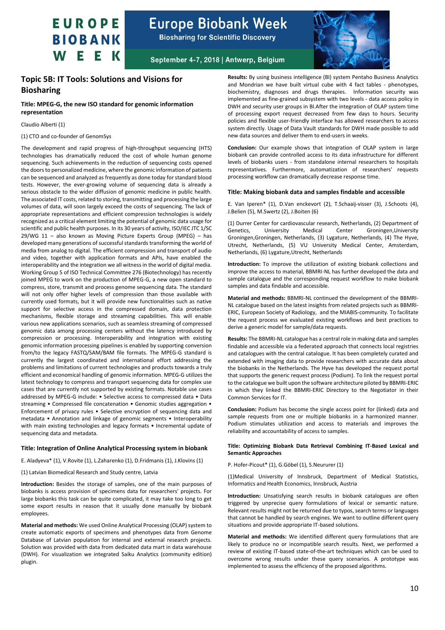

**Biosharing for Scientific Discovery** 



September 4-7, 2018 | Antwerp, Belgium

### <span id="page-9-0"></span>**Topic 5B: IT Tools: Solutions and Visions for Biosharing**

#### **Title: MPEG-G, the new ISO standard for genomic information representation**

#### Claudio Alberti (1)

#### (1) CTO and co-founder of GenomSys

The development and rapid progress of high-throughput sequencing (HTS) technologies has dramatically reduced the cost of whole human genome sequencing. Such achievements in the reduction of sequencing costs opened the doors to personalized medicine, where the genomic information of patients can be sequenced and analyzed as frequently as done today for standard blood tests. However, the ever-growing volume of sequencing data is already a serious obstacle to the wider diffusion of genomic medicine in public health. The associated IT costs, related to storing, transmitting and processing the large volumes of data, will soon largely exceed the costs of sequencing. The lack of appropriate representations and efficient compression technologies is widely recognized as a critical element limiting the potential of genomic data usage for scientific and public health purposes. In its 30 years of activity, ISO/IEC JTC 1/SC 29/WG 11 – also known as Moving Picture Experts Group (MPEG) – has developed many generations of successful standards transforming the world of media from analog to digital. The efficient compression and transport of audio and video, together with application formats and APIs, have enabled the interoperability and the integration we all witness in the world of digital media. Working Group 5 of ISO Technical Committee 276 (Biotechnology) has recently joined MPEG to work on the production of MPEG-G, a new open standard to compress, store, transmit and process genome sequencing data. The standard will not only offer higher levels of compression than those available with currently used formats, but it will provide new functionalities such as native support for selective access in the compressed domain, data protection mechanisms, flexible storage and streaming capabilities. This will enable various new applications scenarios, such as seamless streaming of compressed genomic data among processing centers without the latency introduced by compression or processing. Interoperability and integration with existing genomic information processing pipelines is enabled by supporting conversion from/to the legacy FASTQ/SAM/BAM file formats. The MPEG-G standard is currently the largest coordinated and international effort addressing the problems and limitations of current technologies and products towards a truly efficient and economical handling of genomic information. MPEG-G utilizes the latest technology to compress and transport sequencing data for complex use cases that are currently not supported by existing formats. Notable use cases addressed by MPEG-G include: • Selective access to compressed data • Data streaming • Compressed file concatenation • Genomic studies aggregation • Enforcement of privacy rules • Selective encryption of sequencing data and metadata • Annotation and linkage of genomic segments • Interoperability with main existing technologies and legacy formats • Incremental update of sequencing data and metadata.

#### **Title: Integration of Online Analytical Processing system in biobank**

E. Aladyeva\* (1), V.Rovite (1), L.Zaharenko (1), D.Fridmanis (1), J.Klovins (1)

(1) Latvian Biomedical Research and Study centre, Latvia

**Introduction:** Besides the storage of samples, one of the main purposes of biobanks is access provision of specimens data for researchers' projects. For large biobanks this task can be quite complicated, it may take too long to get some export results in reason that it usually done manually by biobank employees.

**Material and methods:** We used Online Analytical Processing (OLAP) system to create automatic exports of specimens and phenotypes data from Genome Database of Latvian population for internal and external research projects. Solution was provided with data from dedicated data mart in data warehouse (DWH). For visualization we integrated Saiku Analytics (community edition) plugin.

**Results:** By using business intelligence (BI) system Pentaho Business Analytics and Mondrian we have built virtual cube with 4 fact tables - phenotypes, biochemistry, diagnoses and drugs therapies. Information security was implemented as fine-grained subsystem with two levels - data access policy in DWH and security user groups in BI.After the integration of OLAP system time of processing export request decreased from few days to hours. Security policies and flexible user-friendly interface has allowed researchers to access system directly. Usage of Data Vault standards for DWH made possible to add new data sources and deliver them to end-users in weeks.

**Conclusion:** Our example shows that integration of OLAP system in large biobank can provide controlled access to its data infrastructure for different levels of biobanks users - from standalone internal researchers to hospitals representatives. Furthermore, automatization of researchers' requests processing workflow can dramatically decrease response time.

#### **Title: Making biobank data and samples findable and accessible**

E. Van Iperen\* (1), D.Van enckevort (2), T.Schaaij-visser (3), J.Schoots (4), J.Belien (5), M.Swertz (2), J.Boiten (6)

(1) Durrer Center for cardiovascular research, Netherlands, (2) Department of Genetics, University Medical Center Groningen,University Groningen,Groningen, Netherlands, (3) Lygature, Netherlands, (4) The Hyve, Utrecht, Netherlands, (5) VU University Medical Center, Amsterdam, Netherlands, (6) Lygature,Utrecht, Netherlands

**Introduction:** To improve the utilization of existing biobank collections and improve the access to material, BBMRI-NL has further developed the data and sample catalogue and the corresponding request workflow to make biobank samples and data findable and accessible.

**Material and methods:** BBMRI-NL continued the development of the BBMRI-NL catalogue based on the latest insights from related projects such as BBMRI-ERIC, European Society of Radiology, and the MIABIS-community. To facilitate the request process we evaluated existing workflows and best practices to derive a generic model for sample/data requests.

**Results:** The BBMRI-NL catalogue has a central role in making data and samples findable and accessible via a federated approach that connects local registries and catalogues with the central catalogue. It has been completely curated and extended with imaging data to provide researchers with accurate data about the biobanks in the Netherlands. The Hyve has developed the request portal that supports the generic request process (Podium). To link the request portal to the catalogue we built upon the software architecture piloted by BBMRI-ERIC in which they linked the BBMRI-ERIC Directory to the Negotiator in their Common Services for IT.

**Conclusion:** Podium has become the single access point for (linked) data and sample requests from one or multiple biobanks in a harmonized manner. Podium stimulates utilization and access to materials and improves the reliability and accountability of access to samples.

#### **Title: Optimizing Biobank Data Retrieval Combining IT-Based Lexical and Semantic Approaches**

P. Hofer-Picout\* (1), G.Göbel (1), S.Neururer (1)

(1)Medical University of Innsbruck, Department of Medical Statistics, Informatics and Health Economics, Innsbruck, Austria

**Introduction:** Unsatisfying search results in biobank catalogues are often triggered by unprecise query formulations of lexical or semantic nature. Relevant results might not be returned due to typos, search terms or languages that cannot be handled by search engines. We want to outline different query situations and provide appropriate IT-based solutions.

**Material and methods:** We identified different query formulations that are likely to produce no or incompatible search results. Next, we performed a review of existing IT-based state-of-the-art techniques which can be used to overcome wrong results under these query scenarios. A prototype was implemented to assess the efficiency of the proposed algorithms.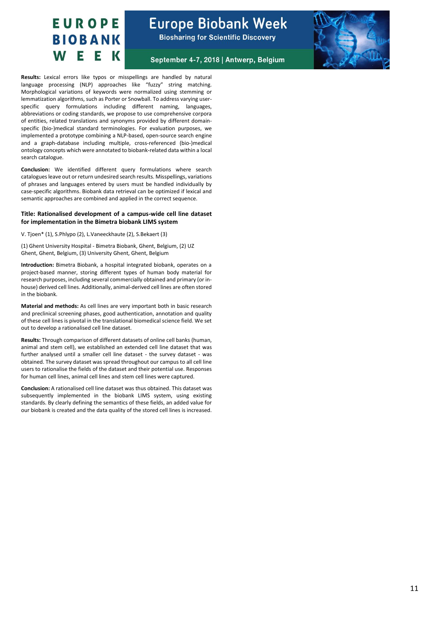

September 4-7, 2018 | Antwerp, Belgium

**Results:** Lexical errors like typos or misspellings are handled by natural language processing (NLP) approaches like "fuzzy" string matching. Morphological variations of keywords were normalized using stemming or lemmatization algorithms, such as Porter or Snowball. To address varying userspecific query formulations including different naming, languages, abbreviations or coding standards, we propose to use comprehensive corpora of entities, related translations and synonyms provided by different domainspecific (bio-)medical standard terminologies. For evaluation purposes, we implemented a prototype combining a NLP-based, open-source search engine and a graph-database including multiple, cross-referenced (bio-)medical ontology concepts which were annotated to biobank-related data within a local search catalogue.

**Conclusion:** We identified different query formulations where search catalogues leave out or return undesired search results. Misspellings, variations of phrases and languages entered by users must be handled individually by case-specific algorithms. Biobank data retrieval can be optimized if lexical and semantic approaches are combined and applied in the correct sequence.

#### **Title: Rationalised development of a campus-wide cell line dataset for implementation in the Bimetra biobank LIMS system**

V. Tjoen\* (1), S.Phlypo (2), L.Vaneeckhaute (2), S.Bekaert (3)

(1) Ghent University Hospital - Bimetra Biobank, Ghent, Belgium, (2) UZ Ghent, Ghent, Belgium, (3) University Ghent, Ghent, Belgium

**Introduction:** Bimetra Biobank, a hospital integrated biobank, operates on a project-based manner, storing different types of human body material for research purposes, including several commercially obtained and primary (or inhouse) derived cell lines. Additionally, animal-derived cell lines are often stored in the biobank.

**Material and methods:** As cell lines are very important both in basic research and preclinical screening phases, good authentication, annotation and quality of these cell lines is pivotal in the translational biomedical science field. We set out to develop a rationalised cell line dataset.

**Results:** Through comparison of different datasets of online cell banks (human, animal and stem cell), we established an extended cell line dataset that was further analysed until a smaller cell line dataset - the survey dataset - was obtained. The survey dataset was spread throughout our campus to all cell line users to rationalise the fields of the dataset and their potential use. Responses for human cell lines, animal cell lines and stem cell lines were captured.

**Conclusion:** A rationalised cell line dataset was thus obtained. This dataset was subsequently implemented in the biobank LIMS system, using existing standards. By clearly defining the semantics of these fields, an added value for our biobank is created and the data quality of the stored cell lines is increased.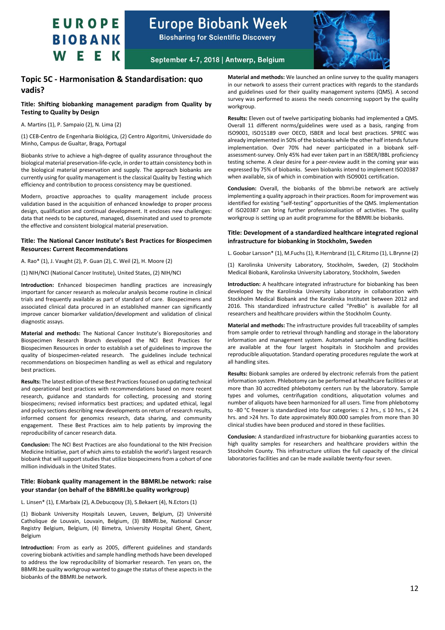

**Biosharing for Scientific Discovery** 



September 4-7, 2018 | Antwerp, Belgium

### <span id="page-11-0"></span>**Topic 5C - Harmonisation & Standardisation: quo vadis?**

#### **Title: Shifting biobanking management paradigm from Quality by Testing to Quality by Design**

A. Martins (1), P. Sampaio (2), N. Lima (2)

(1) CEB-Centro de Engenharia Biológica, (2) Centro Algoritmi, Universidade do Minho, Campus de Gualtar, Braga, Portugal

Biobanks strive to achieve a high-degree of quality assurance throughout the biological material preservation-life-cycle, in order to attain consistency both in the biological material preservation and supply. The approach biobanks are currently using for quality management is the classical Quality by Testing which efficiency and contribution to process consistency may be questioned.

Modern, proactive approaches to quality management include process validation based in the acquisition of enhanced knowledge to proper process design, qualification and continual development. It encloses new challenges: data that needs to be captured, managed, disseminated and used to promote the effective and consistent biological material preservation.

#### **Title: The National Cancer Institute's Best Practices for Biospecimen Resources: Current Recommendations**

A. Rao\* (1), J. Vaught (2), P. Guan (2), C. Weil (2), H. Moore (2)

(1) NIH/NCI (National Cancer Institute), United States, (2) NIH/NCI

**Introduction:** Enhanced biospecimen handling practices are increasingly important for cancer research as molecular analysis become routine in clinical trials and frequently available as part of standard of care. Biospecimens and associated clinical data procured in an established manner can significantly improve cancer biomarker validation/development and validation of clinical diagnostic assays.

**Material and methods:** The National Cancer Institute's Biorepositories and Biospecimen Research Branch developed the NCI Best Practices for Biospecimen Resources in order to establish a set of guidelines to improve the quality of biospecimen-related research. The guidelines include technical recommendations on biospecimen handling as well as ethical and regulatory best practices.

**Results:** The latest edition of these Best Practices focused on updating technical and operational best practices with recommendations based on more recent research, guidance and standards for collecting, processing and storing biospecimens; revised informatics best practices; and updated ethical, legal and policy sections describing new developments on return of research results, informed consent for genomics research, data sharing, and community engagement. These Best Practices aim to help patients by improving the reproducibility of cancer research data.

**Conclusion:** The NCI Best Practices are also foundational to the NIH Precision Medicine Initiative, part of which aims to establish the world's largest research biobank that will support studies that utilize biospecimens from a cohort of one million individuals in the United States.

#### **Title: Biobank quality management in the BBMRI.be network: raise your standar (on behalf of the BBMRI.be quality workgroup)**

L. Linsen\* (1), E.Marbaix (2), A.Debucqouy (3), S.Bekaert (4), N.Ectors (1)

(1) Biobank University Hospitals Leuven, Leuven, Belgium, (2) Université Catholique de Louvain, Louvain, Belgium, (3) BBMRI.be, National Cancer Registry Belgium, Belgium, (4) Bimetra, University Hospital Ghent, Ghent, Belgium

**Introduction:** From as early as 2005, different guidelines and standards covering biobank activities and sample handling methods have been developed to address the low reproducibility of biomarker research. Ten years on, the BBMRI.be quality workgroup wanted to gauge the status of these aspects in the biobanks of the BBMRI.be network.

**Material and methods:** We launched an online survey to the quality managers in our network to assess their current practices with regards to the standards and guidelines used for their quality management systems (QMS). A second survey was performed to assess the needs concerning support by the quality workgroup.

**Results:** Eleven out of twelve participating biobanks had implemented a QMS. Overall 11 different norms/guidelines were used as a basis, ranging from ISO9001, ISO15189 over OECD, ISBER and local best practices. SPREC was already implemented in 50% of the biobanks while the other half intends future implementation. Over 70% had never participated in a biobank selfassessment-survey. Only 45% had ever taken part in an ISBER/IBBL proficiency testing scheme. A clear desire for a peer-review audit in the coming year was expressed by 75% of biobanks. Seven biobanks intend to implement ISO20387 when available, six of which in combination with ISO9001 certification.

**Conclusion:** Overall, the biobanks of the bbmri.be network are actively implementing a quality approach in their practices. Room for improvement was identified for existing "self-testing" opportunities of the QMS. Implementation of ISO20387 can bring further professionalisation of activities. The quality workgroup is setting up an audit programme for the BBMRI.be biobanks.

#### **Title: Development of a standardized healthcare integrated regional infrastructure for biobanking in Stockholm, Sweden**

L. Goobar Larsson\* (1), M.Fuchs (1), R.Hernbrand (1), C.Ritzmo (1), L.Brynne (2)

(1) Karolinska University Laboratory, Stockholm, Sweden, (2) Stockholm Medical Biobank, Karolinska University Laboratory, Stockholm, Sweden

**Introduction:** A healthcare integrated infrastructure for biobanking has been developed by the Karolinska University Laboratory in collaboration with Stockholm Medical Biobank and the Karolinska Institutet between 2012 and 2016. This standardized infrastructure called "PreBio" is available for all researchers and healthcare providers within the Stockholm County.

**Material and methods:** The infrastructure provides full traceability of samples from sample order to retrieval through handling and storage in the laboratory information and management system. Automated sample handling facilities are available at the four largest hospitals in Stockholm and provides reproducible aliquotation. Standard operating procedures regulate the work at all handling sites.

**Results:** Biobank samples are ordered by electronic referrals from the patient information system. Phlebotomy can be performed at healthcare facilities or at more than 30 accredited phlebotomy centers run by the laboratory. Sample types and volumes, centrifugation conditions, aliquotation volumes and number of aliquots have been harmonized for all users. Time from phlebotomy to -80 °C freezer is standardized into four categories: ≤ 2 hrs., ≤ 10 hrs., ≤ 24 hrs. and >24 hrs. To date approximately 800.000 samples from more than 30 clinical studies have been produced and stored in these facilities.

**Conclusion:** A standardized infrastructure for biobanking guaranties access to high quality samples for researchers and healthcare providers within the Stockholm County. This infrastructure utilizes the full capacity of the clinical laboratories facilities and can be made available twenty-four seven.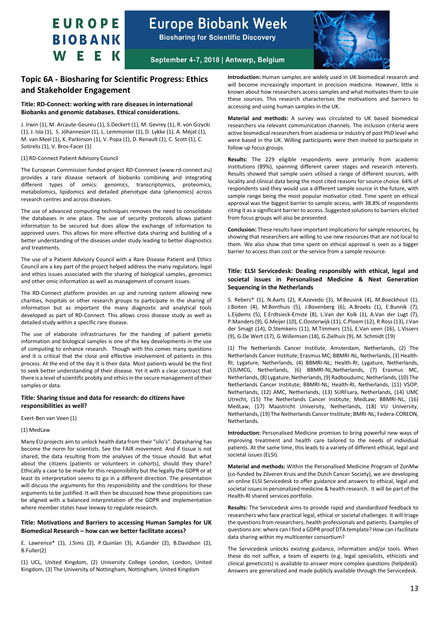

**Biosharing for Scientific Discovery** 



September 4-7, 2018 | Antwerp, Belgium

### <span id="page-12-0"></span>**Topic 6A - Biosharing for Scientific Progress: Ethics and Stakeholder Engagement**

#### **Title: RD-Connect: working with rare diseases in international Biobanks and genomic databases. Ethical considerations.**

J. Irwin (1), M. Arcaute-Geureu (1), S.Deckert (1), M. Gevrey (1), R. von Gizycki (1), J. Isla (1), S. Jóhanneson (1), L. Lemmonier (1), D. Lykke (1), A. Méjat (1), M. van Meel (1), K. Parkinson (1), V. Popa (1), D. Renault (1), C. Scott (1), C. Sotirelis (1), V. Bros-Facer (1)

#### (1) RD-Connect Patient Advisory Council

The European Commission funded project RD-Connnect (www.rd-connect.eu) provides a rare disease network of biobanks combining and integrating different types of omics: genomics, transcriptomics, proteomics, metabolomics, lipidomics and detailed phenotype data (phenomics) across research centres and across diseases.

The use of advanced computing techniques removes the need to consolidate the databases in one place. The use of security protocols allows patient information to be secured but does allow the exchange of information to approved users. This allows for more effective data sharing and building of a better understanding of the diseases under study leading to better diagnostics and treatments.

The use of a Patient Advisory Council with a Rare Disease Patient and Ethics Council are a key part of the project helped address the many regulatory, legal and ethics issues associated with the sharing of biological samples, genomics and other omic information as well as management of consent issues.

The RD-Connect platform provides an up and running system allowing new charities, hospitals or other research groups to participate in the sharing of information but as important the many diagnostic and analytical tools developed as part of RD-Connect. This allows cross disease study as well as detailed study within a specific rare disease.

The use of elaborate infrastructures for the handing of patient genetic information and biological samples is one of the key developments in the use of computing to enhance research. Though with this comes many questions and it is critical that the close and effective involvement of patients in this process. At the end of the day it is their data. Most patients would be the first to seek better understanding of their disease. Yet it with a clear contract that there is a level of scientific probity and ethics in the secure management of their samples or data.

#### **Title: Sharing tissue and data for research: do citizens have responsibilities as well?**

#### Evert-Ben van Veen (1)

#### (1) MedLaw

Many EU projects aim to unlock health data from their "silo's". Datasharing has become the norm for scientists. See the FAIR movement. And if tissue is not shared, the data resulting from the analyses of the tissue should. But what about the citizens (patients or volunteers in cohorts), should they share? Ethically a case to be made for this responsibility but the legally the GDPR or at least its interpretation seems to go in a different direction. The presentation will discuss the arguments for this responsibility and the conditions for these arguments to be justified. It will then be discussed how these propositions can be aligned with a balanced interpretation of the GDPR and implementation where member states have leeway to regulate research.

#### **Title: Motivations and Barriers to accessing Human Samples for UK Biomedical Research – how can we better facilitate access?**

E. Lawrence\* (1), J.Sims (2), P.Quinlan (3), A.Gander (2), B.Davidson (2), B.Fuller(2)

(1) UCL, United Kingdom, (2) University College London, London, United Kingdom, (3) The University of Nottingham, Nottingham, United Kingdom

**Introduction:** Human samples are widely used in UK biomedical research and will become increasingly important in precision medicine. However, little is known about how researchers access samples and what motivates them to use these sources. This research characterises the motivations and barriers to accessing and using human samples in the UK.

**Material and methods:** A survey was circulated to UK based biomedical researchers via relevant communication channels. The inclusion criteria were active biomedical researchers from academia or industry of post PhD level who were based in the UK. Willing participants were then invited to participate in follow up focus groups.

**Results:** The 229 eligible respondents were primarily from academic institutions (89%), spanning different career stages and research interests. Results showed that sample users utilised a range of different sources, with locality and clinical data being the most cited reasons for source choice. 64% of respondents said they would use a different sample source in the future, with sample range being the most popular motivator cited. Time spent on ethical approval was the biggest barrier to sample access, with 38.8% of respondents citing it as a significant barrier to access. Suggested solutions to barriers elicited from focus groups will also be presented.

**Conclusion:** These results have important implications for sample resources, by showing that researchers are willing to use new resources that are not local to them. We also show that time spent on ethical approval is seen as a bigger barrier to access than cost or the service from a sample resource.

#### **Title: ELSI Servicedesk: Dealing responsibly with ethical, legal and societal issues in Personalised Medicine & Next Generation Sequencing in the Netherlands**

S. Rebers\* (1), N.Aarts (2), R.Azevedo (3), M.Beusink (4), M.Boeckhout (1), J.Boiten (4), M.Bonthuis (5), J.Bovenberg (6), A.Broeks (1), E.Bunnik (7), L.Eijdems (5), E.Erdtsieck-Ernste (8), L.Van der Kolk (1), A.Van der Lugt (7), P.Manders(9), G.Meijer(10), C.Oosterwijk (11), C.Ploem (12), R.Ross (13), J.Van der Smagt (14), D.Stemkens (11), M.Timmers (15), E.Van veen (16), L.Vissers (9), G.De Wert (17), G.Willemsen (18), G.Zielhuis (9), M. Schmidt (19)

(1) The Netherlands Cancer Institute, Amsterdam, Netherlands, (2) The Netherlands Cancer Institute; Erasmus MC; BBMRI-NL, Netherlands, (3) Health-RI; Lygature, Netherlands, (4) BBMRI-NL; Health-RI; Lygature, Netherlands, (5)UMCG, Netherlands, (6) BBMRI-NL,Netherlands, (7) Erasmus MC, Netherlands, (8) Lygature, Netherlands, (9) Radboudumc, Netherlands, (10) The Netherlands Cancer Institute; BBMRI-NL; Health-RI, Netherlands, (11) VSOP, Netherlands, (12) AMC, Netherlands, (13) SURFsara, Netherlands, (14) UMC Utrecht, (15) The Netherlands Cancer Institute; MedLaw; BBMRI-NL, (16) MedLaw, (17) Maastricht University, Netherlands, (18) VU University, Netherlands, (19) The Netherlands Cancer Institute; BMRI-NL; Federa-COREON, **Netherlands** 

**Introduction:** Personalised Medicine promises to bring powerful new ways of improving treatment and health care tailored to the needs of individual patients. At the same time, this leads to a variety of different ethical, legal and societal issues (ELSI).

**Material and methods:** Within the Personalised Medicine Program of ZonMw (co-funded by Zilveren Kruis and the Dutch Cancer Society), we are developing an online ELSI Servicedesk to offer guidance and answers to ethical, legal and societal issues in personalized medicine & health research. It will be part of the Health-RI shared services portfolio.

**Results:** The Servicedesk aims to provide rapid and standardized feedback to researchers who face practical legal, ethical or societal challenges. It will triage the questions from researchers, health professionals and patients. Examples of questions are: where can I find a GDPR proof DTA template? How can I facilitate data sharing within my multicenter consortium?

The Servicedesk unlocks existing guidance, information and/or tools. When these do not suffice, a team of experts (e.g. legal specialists, ethicists and clinical geneticists) is available to answer more complex questions (helpdesk). Answers are generalized and made publicly available through the Servicedesk.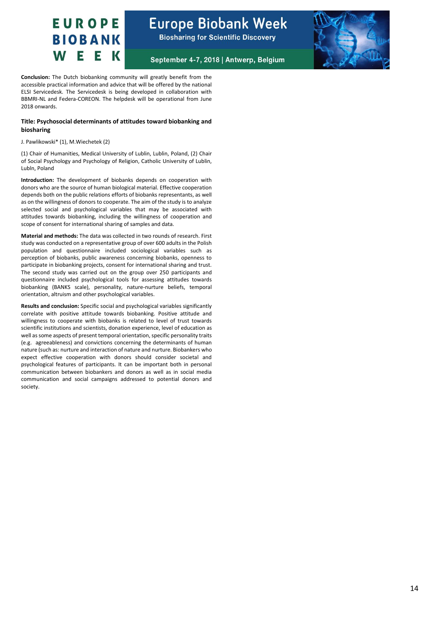

September 4-7, 2018 | Antwerp, Belgium



**Conclusion:** The Dutch biobanking community will greatly benefit from the accessible practical information and advice that will be offered by the national ELSI Servicedesk. The Servicedesk is being developed in collaboration with BBMRI-NL and Federa-COREON. The helpdesk will be operational from June 2018 onwards.

#### **Title: Psychosocial determinants of attitudes toward biobanking and biosharing**

#### J. Pawlikowski\* (1), M.Wiechetek (2)

(1) Chair of Humanities, Medical University of Lublin, Lublin, Poland, (2) Chair of Social Psychology and Psychology of Religion, Catholic University of Lublin, Lubln, Poland

**Introduction:** The development of biobanks depends on cooperation with donors who are the source of human biological material. Effective cooperation depends both on the public relations efforts of biobanks representants, as well as on the willingness of donors to cooperate. The aim of the study is to analyze selected social and psychological variables that may be associated with attitudes towards biobanking, including the willingness of cooperation and scope of consent for international sharing of samples and data.

**Material and methods:** The data was collected in two rounds of research. First study was conducted on a representative group of over 600 adults in the Polish population and questionnaire included sociological variables such as perception of biobanks, public awareness concerning biobanks, openness to participate in biobanking projects, consent for international sharing and trust. The second study was carried out on the group over 250 participants and questionnaire included psychological tools for assessing attitudes towards biobanking (BANKS scale), personality, nature-nurture beliefs, temporal orientation, altruism and other psychological variables.

**Results and conclusion:** Specific social and psychological variables significantly correlate with positive attitude towards biobanking. Positive attitude and willingness to cooperate with biobanks is related to level of trust towards scientific institutions and scientists, donation experience, level of education as well as some aspects of present temporal orientation, specific personality traits (e.g. agreeableness) and convictions concerning the determinants of human nature (such as: nurture and interaction of nature and nurture. Biobankers who expect effective cooperation with donors should consider societal and psychological features of participants. It can be important both in personal communication between biobankers and donors as well as in social media communication and social campaigns addressed to potential donors and society.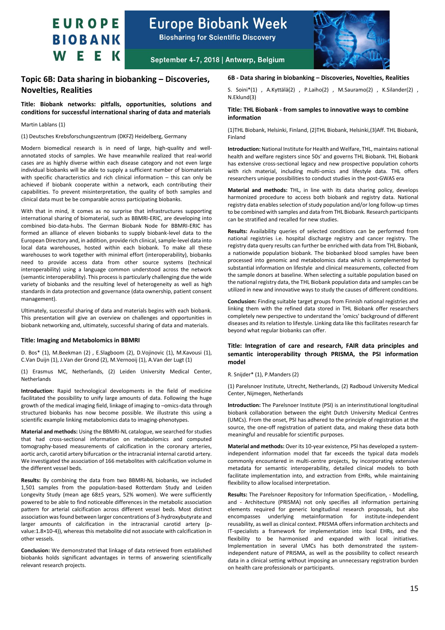**Europe Biobank Week** 

**Biosharing for Scientific Discovery** 



September 4-7, 2018 | Antwerp, Belgium

### <span id="page-14-0"></span>**Topic 6B: Data sharing in biobanking – Discoveries, Novelties, Realities**

#### **Title: Biobank networks: pitfalls, opportunities, solutions and conditions for successful international sharing of data and materials**

#### Martin Lablans (1)

(1) Deutsches Krebsforschungszentrum (DKFZ) Heidelberg, Germany

Modern biomedical research is in need of large, high-quality and wellannotated stocks of samples. We have meanwhile realized that real-world cases are as highly diverse within each disease category and not even large individual biobanks will be able to supply a sufficient number of biomaterials with specific characteristics and rich clinical information – this can only be achieved if biobank cooperate within a network, each contributing their capabilities. To prevent misinterpretation, the quality of both samples and clinical data must be be comparable across participating biobanks.

With that in mind, it comes as no surprise that infrastructures supporting international sharing of biomaterial, such as BBMRI-ERIC, are developing into combined bio-data-hubs. The German Biobank Node for BBMRI-ERIC has formed an alliance of eleven biobanks to supply biobank-level data to the European Directory and, in addition, provide rich clinical, sample-level data into local data warehouses, hosted within each biobank. To make all these warehouses to work together with minimal effort (interoperability), biobanks need to provide access data from other source systems (technical interoperability) using a language common understood across the network (semantic interoperability). This process is particularly challenging due the wide variety of biobanks and the resulting level of heterogeneity as well as high standards in data protection and governance (data ownership, patient consent management).

Ultimately, successful sharing of data and materials begins with each biobank. This presentation will give an overview on challenges and opportunities in biobank networking and, ultimately, successful sharing of data and materials.

#### **Title: Imaging and Metabolomics in BBMRI**

D. Bos\* (1), M.Beekman (2) , E.Slagboom (2), D.Vojinovic (1), M.Kavousi (1), C.Van Duijn (1), J.Van der Grond (2), M.Vernooij (1), A.Van der Lugt (1)

(1) Erasmus MC, Netherlands, (2) Leiden University Medical Center, **Netherlands** 

**Introduction:** Rapid technological developments in the field of medicine facilitated the possibility to unify large amounts of data. Following the huge growth of the medical imaging field, linkage of imaging to –omics-data through structured biobanks has now become possible. We illustrate this using a scientific example linking metabolomics data to imaging-phenotypes.

**Material and methods:** Using the BBMRI-NL catalogue, we searched for studies that had cross-sectional information on metabolomics and computed tomography-based measurements of calcification in the coronary arteries, aortic arch, carotid artery bifurcation or the intracranial internal carotid artery. We investigated the association of 166 metabolites with calcification volume in the different vessel beds.

**Results:** By combining the data from two BBMRI-NL biobanks, we included 1,501 samples from the population-based Rotterdam Study and Leiden Longevity Study (mean age 68±5 years, 52% women). We were sufficiently powered to be able to find noticeable differences in the metabolic association pattern for arterial calcification across different vessel beds. Most distinct association was found between larger concentrations of 3-hydroxybutyrate and larger amounts of calcification in the intracranial carotid artery (pvalue:1.8×10-4)), whereas this metabolite did not associate with calcification in other vessels.

**Conclusion:** We demonstrated that linkage of data retrieved from established biobanks holds significant advantages in terms of answering scientifically relevant research projects.

#### **6B - Data sharing in biobanking – Discoveries, Novelties, Realities**

S. Soini\*(1) , A.Kyttälä(2) , P.Laiho(2) , M.Sauramo(2) , K.Silander(2) , N.Eklund(3)

#### **Title: THL Biobank - from samples to innovative ways to combine information**

(1)THL Biobank, Helsinki, Finland, (2)THL Biobank, Helsinki,(3)Aff. THL Biobank, Finland

**Introduction:**National Institute for Health and Welfare, THL, maintains national health and welfare registers since 50s' and governs THL Biobank. THL Biobank has extensive cross-sectional legacy and new prospective population cohorts with rich material, including multi-omics and lifestyle data. THL offers researchers unique possibilities to conduct studies in the post-GWAS era

**Material and methods:** THL, in line with its data sharing policy, develops harmonized procedure to access both biobank and registry data. National registry data enables selection of study population and/or long follow-up times to be combined with samples and data from THL Biobank. Research participants can be stratified and recalled for new studies.

**Results:** Availability queries of selected conditions can be performed from national registries i.e. hospital discharge registry and cancer registry. The registry data query results can further be enriched with data from THL Biobank, a nationwide population biobank. The biobanked blood samples have been processed into genomic and metabolomics data which is complemented by substantial information on lifestyle and clinical measurements, collected from the sample donors at baseline. When selecting a suitable population based on the national registry data, the THL Biobank population data and samples can be utilized in new and innovative ways to study the causes of different conditions.

**Conclusion:** Finding suitable target groups from Finnish national registries and linking them with the refined data stored in THL Biobank offer researchers completely new perspective to understand the 'omics' background of different diseases and its relation to lifestyle. Linking data like this facilitates research far beyond what regular biobanks can offer.

#### **Title: Integration of care and research, FAIR data principles and semantic interoperability through PRISMA, the PSI information model**

#### R. Snijder\* (1), P.Manders (2)

(1) Parelsnoer Institute, Utrecht, Netherlands, (2) Radboud University Medical Center, Nijmegen, Netherlands

**Introduction:** The Parelsnoer Institute (PSI) is an interinstitutional longitudinal biobank collaboration between the eight Dutch University Medical Centres (UMCs). From the onset, PSI has adhered to the principle of registration at the source, the one-off registration of patient data, and making these data both meaningful and reusable for scientific purposes.

**Material and methods:** Over its 10-year existence, PSI has developed a systemindependent information model that far exceeds the typical data models commonly encountered in multi-centre projects, by incorporating extensive metadata for semantic interoperability, detailed clinical models to both facilitate implementation into, and extraction from EHRs, while maintaining flexibility to allow localised interpretation.

**Results:** The Parelsnoer Repository for Information Specification, - Modelling, and - Architecture (PRISMA) not only specifies all information pertaining elements required for generic longitudinal research proposals, but also encompasses underlying metainformation for institute-independent reusability, as well as clinical context. PRISMA offers information architects and IT-specialists a framework for implementation into local EHRs, and the flexibility to be harmonised and expanded with local initiatives. Implementation in several UMCs has both demonstrated the systemindependent nature of PRISMA, as well as the possibility to collect research data in a clinical setting without imposing an unnecessary registration burden on health care professionals or participants.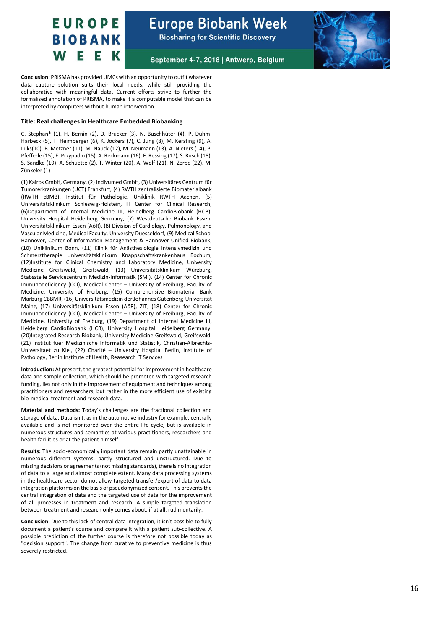

September 4-7, 2018 | Antwerp, Belgium



**Conclusion:** PRISMA has provided UMCs with an opportunity to outfit whatever data capture solution suits their local needs, while still providing the collaborative with meaningful data. Current efforts strive to further the formalised annotation of PRISMA, to make it a computable model that can be interpreted by computers without human intervention.

#### **Title: Real challenges in Healthcare Embedded Biobanking**

C. Stephan\* (1), H. Bernin (2), D. Brucker (3), N. Buschhüter (4), P. Duhm-Harbeck (5), T. Heimberger (6), K. Jockers (7), C. Jung (8), M. Kersting (9), A. Luks(10), B. Metzner (1 1), M. Nauck (1 2), M. Neumann (1 3), A. Nieters (1 4), P. Pfefferle (15), E. Przypadlo (15), A. Reckmann (16), F. Ressing (17), S. Rusch (18), S. Sandke (19), A. Schuette (2), T. Winter (20), A. Wolf (2 1), N. Zerbe (2 2), M. Zünkeler (1)

(1) Kairos GmbH, Germany, (2) Indivumed GmbH, (3) Universitäres Centrum für Tumorerkrankungen (UCT) Frankfurt, (4) RWTH zentralisierte Biomaterialbank (RWTH cBMB), Institut für Pathologie, Uniklinik RWTH Aachen, (5) Universitätsklinikum Schleswig-Holstein, IT Center for Clinical Research, ( 6)Department of Internal Medicine III, Heidelberg CardioBiobank (HCB), University Hospital Heidelberg Germany, ( 7 ) Westdeutsche Biobank Essen, Universitätsklinikum Essen (AöR), (8 ) Division of Cardiology, Pulmonology, and Vascular Medicine, Medical Faculty, University Duesseldorf, ( 9 ) Medical School Hannover, Center of Information Management & Hannover Unified Biobank, (10) Uniklinikum Bonn, (11) Klinik für Anästhesiologie Intensivmedizin und Schmerztherapie Universitätsklinikum Knappschaftskrankenhaus Bochum, (1 2)Institute for Clinical Chemistry and Laboratory Medicine, University Medicine Greifswald, Greifswald, (13 ) Universitätsklinikum Würzburg, Stabsstelle Servicezentrum Medizin -Informatik (SMI), (14 ) Center for Chronic Immunodeficiency (CCI), Medical Center – University of Freiburg, Faculty of Medicine, University of Freiburg, (1 5 ) Comprehensive Biomaterial Bank Marburg CBBMR, (16) Universitätsmedizin der Johannes Gutenberg-Universität Mainz, (1 7 ) Universitätsklinikum Essen (AöR), ZIT, (18 ) Center for Chronic Immunodeficiency (CCI), Medical Center – University of Freiburg, Faculty of Medicine, University of Freiburg, (1 9 ) Department of Internal Medicine III, Heidelberg CardioBiobank (HCB), University Hospital Heidelberg Germany, (20)Integrated Research Biobank, University Medicine Greifswald, Greifswald, (2 1 ) Institut fuer Medizinische Informatik und Statistik, Christian -Albrechts - Universitaet zu Kiel, (22) Charité - University Hospital Berlin, Institute of Pathology, Berlin Institute of Health, Reasearch IT Services

**Introduction:** At present, the greatest potential for improvement in healthcare data and sample collection, which should be promoted with targeted research funding, lies not only in the improvement of equipment and techniques among practitioners and researchers, but rather in the more efficient use of existing bio -medical treatment and research data.

**Material and methods:** Today's challenges are the fractional collection and storage of data. Data isn't, as in the automotive industry for example, centrally available and is not monitored over the entire life cycle, but is available in numerous structures and semantics at various practitioners, researchers and health facilities or at the patient himself.

Results: The socio-economically important data remain partly unattainable in numerous different systems, partly structured and unstructured. Due to missing decisions or agreements (not missing standards), there is no integration of data to a large and almost complete extent. Many data processing systems in the healthcare sector do not allow targeted transfer/export of data to data integration platforms on the basis of pseudonymized consent. This prevents the central integration of data and the targeted use of data for the improvement of all processes in treatment and research. A simple targeted translation between treatment and research only comes about, if at all, rudimentarily.

**Conclusion:** Due to this lack of central data integration, it isn't possible to fully document a patient's course and compare it with a patient sub -collective. A possible prediction of the further course is therefore not possible today as "decision support". The change from curative to preventive medicine is thus severely restricted.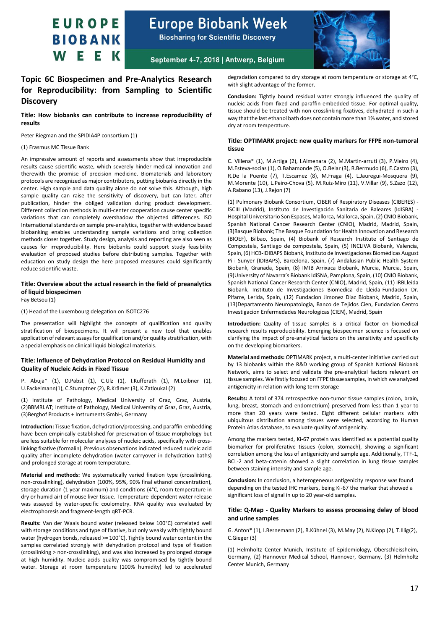

**Biosharing for Scientific Discovery** 



September 4-7, 2018 | Antwerp, Belgium

### <span id="page-16-0"></span>**Topic 6C Biospecimen and Pre-Analytics Research for Reproducibility: from Sampling to Scientific Discovery**

#### **Title: How biobanks can contribute to increase reproducibility of results**

Peter Riegman and the SPIDIA4P consortium (1)

#### (1) Erasmus MC Tissue Bank

An impressive amount of reports and assessments show that irreproducible results cause scientific waste, which severely hinder medical innovation and therewith the promise of precision medicine. Biomaterials and laboratory protocols are recognized as major contributors, putting biobanks directly in the center. High sample and data quality alone do not solve this. Although, high sample quality can raise the sensitivity of discovery, but can later, after publication, hinder the obliged validation during product development. Different collection methods in multi-center cooperation cause center specific variations that can completely overshadow the objected differences. ISO International standards on sample pre-analytics, together with evidence based biobanking enables understanding sample variations and bring collection methods closer together. Study design, analysis and reporting are also seen as causes for irreproducibility. Here biobanks could support study feasibility evaluation of proposed studies before distributing samples. Together with education on study design the here proposed measures could significantly reduce scientific waste.

#### **Title: Overview about the actual research in the field of preanalytics of liquid biospecimen**

Fay Betsou (1)

(1) Head of the Luxembourg delegation on ISOTC276

The presentation will highlight the concepts of qualification and quality stratification of biospecimens. It will present a new tool that enables application of relevant assays for qualification and/or quality stratification, with a special emphasis on clinical liquid biological materials.

#### **Title: Influence of Dehydration Protocol on Residual Humidity and Quality of Nucleic Acids in Fixed Tissue**

P. Abuja\* (1), D.Pabst (1), C.Ulz (1), I.Kufferath (1), M.Loibner (1), U.Fackelmann(1), C.Stumptner (2), R.Krämer (3), K.Zatloukal (2)

(1) Institute of Pathology, Medical University of Graz, Graz, Austria, (2)BBMRI.AT; Institute of Pathology, Medical University of Graz, Graz, Austria, (3)Berghof Products + Instruments GmbH, Germany

**Introduction:** Tissue fixation, dehydration/processing, and paraffin-embedding have been empirically established for preservation of tissue morphology but are less suitable for molecular analyses of nucleic acids, specifically with crosslinking fixative (formalin). Previous observations indicated reduced nucleic acid quality after incomplete dehydration (water carryover in dehydration baths) and prolonged storage at room temperature.

**Material and methods:** We systematically varied fixation type (crosslinking, non-crosslinking), dehydration (100%, 95%, 90% final ethanol concentration), storage duration (1 year maximum) and conditions (4°C, room temperature in dry or humid air) of mouse liver tissue. Temperature-dependent water release was assayed by water-specific coulometry. RNA quality was evaluated by electrophoresis and fragment-length qRT-PCR.

**Results:** Van der Waals bound water (released below 100°C) correlated well with storage conditions and type of fixative, but only weakly with tightly bound water (hydrogen bonds, released >= 100°C). Tightly bound water content in the samples correlated strongly with dehydration protocol and type of fixation (crosslinking > non-crosslinking), and was also increased by prolonged storage at high humidity. Nucleic acids quality was compromised by tightly bound water. Storage at room temperature (100% humidity) led to accelerated

degradation compared to dry storage at room temperature or storage at 4°C, with slight advantage of the former.

**Conclusion:** Tightly bound residual water strongly influenced the quality of nucleic acids from fixed and paraffin-embedded tissue. For optimal quality, tissue should be treated with non-crosslinking fixatives, dehydrated in such a way that the last ethanol bath does not contain more than 1% water, and stored dry at room temperature.

#### **Title: OPTIMARK project: new quality markers for FFPE non-tumoral tissue**

C. Villena\* (1), M.Artiga (2), I.Almenara (2), M.Martin-arruti (3), P.Vieiro (4), M.Esteva-socias (1), O.Bahamonde (5), O.Belar (3), R.Bermudo (6), E.Castro (3), R.De la Puente (7), T.Escamez (8), M.Fraga (4), L.Jauregui-Mosquera (9), M.Morente (10), L.Peiro-Chova (5), M.Ruiz-Miro (11), V.Villar (9), S.Zazo (12), A.Rabano (13), J.Rejon (7)

(1) Pulmonary Biobank Consortium, CIBER of Respiratory Diseases (CIBERES) - ISCIII (Madrid), Instituto de Investigación Sanitaria de Baleares (IdISBA) - Hospital Universitario Son Espases, Mallorca, Mallorca, Spain, (2) CNIO Biobank, Spanish National Cancer Research Center (CNIO), Madrid, Madrid, Spain, (3)Basque Biobank; The Basque Foundation for Health Innovation and Research (BIOEF), Bilbao, Spain, (4) Biobank of Research Institute of Santiago de Compostela, Santiago de compostela, Spain, (5) INCLIVA Biobank, Valencia, Spain, (6) HCB-IDIBAPS Biobank, Instituto de Investigaciones Biomédicas August Pi i Sunyer (IDIBAPS), Barcelona, Spain, (7) Andalusian Public Health System Biobank, Granada, Spain, (8) IMIB Arrixaca Biobank, Murcia, Murcia, Spain, (9)University of Navarra's Biobank IdiSNA, Pamplona, Spain, (10) CNIO Biobank, Spanish National Cancer Research Center (CNIO), Madrid, Spain, (11) IRBLleida Biobank, Instituto de Investigaciones Biomedica de Lleida-Fundacion Dr. Pifarre, Lerida, Spain, (12) Fundacion Jimonez Diaz Biobank, Madrid, Spain, (13)Departamento Neuropatologia, Banco de Tejidos Cien, Fundacion Centro Investigacion Enfermedades Neurologicas (CIEN), Madrid, Spain

**Introduction:** Quality of tissue samples is a critical factor on biomedical research results reproducibility. Emerging biospecimen science is focused on clarifying the impact of pre-analytical factors on the sensitivity and specificity on the developing biomarkers.

**Material and methods:** OPTIMARK project, a multi-center initiative carried out by 13 biobanks within the R&D working group of Spanish National Biobank Network, aims to select and validate the pre-analytical factors relevant on tissue samples. We firstly focused on FFPE tissue samples, in which we analyzed antigenicity in relation with long term storage

**Results:** A total of 374 retrospective non-tumor tissue samples (colon, brain, lung, breast, stomach and endometrium) preserved from less than 1 year to more than 20 years were tested. Eight different cellular markers with ubiquitous distribution among tissues were selected, according to Human Protein Atlas database, to evaluate quality of antigenicity.

Among the markers tested, Ki-67 protein was identified as a potential quality biomarker for proliferative tissues (colon, stomach), showing a significant correlation among the loss of antigenicity and sample age. Additionally, TTF-1, BCL-2 and beta-catenin showed a slight correlation in lung tissue samples between staining intensity and sample age.

**Conclusion:** In conclusion, a heterogeneous antigenicity response was found depending on the tested IHC markers, being Ki-67 the marker that showed a significant loss of signal in up to 20 year-old samples.

#### **Title: Q-Map - Quality Markers to assess processing delay of blood and urine samples**

G. Anton\* (1), I.Bernemann (2), B.Kühnel (3), M.May (2), N.Klopp (2), T.Illig(2), C.Gieger (3)

(1) Helmholtz Center Munich, Institute of Epidemiology, Oberschleissheim, Germany, (2) Hannover Medical School, Hannover, Germany, (3) Helmholtz Center Munich, Germany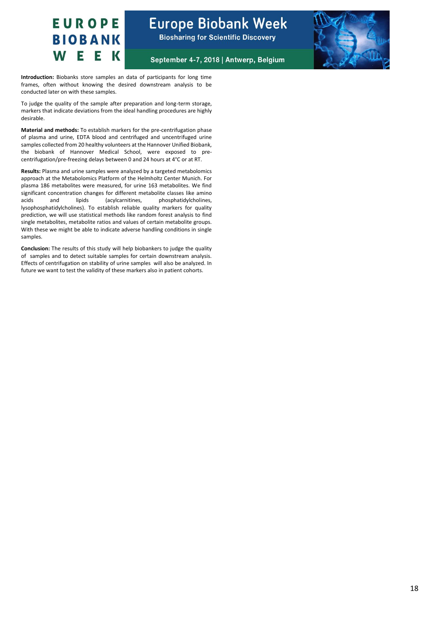

September 4-7, 2018 | Antwerp, Belgium

**Introduction:** Biobanks store samples an data of participants for long time frames, often without knowing the desired downstream analysis to be conducted later on with these samples.

To judge the quality of the sample after preparation and long-term storage, markers that indicate deviations from the ideal handling procedures are highly desirable.

**Material and methods:** To establish markers for the pre-centrifugation phase of plasma and urine, EDTA blood and centrifuged and uncentrifuged urine samples collected from 20 healthy volunteers at the Hannover Unified Biobank, the biobank of Hannover Medical School, were exposed to precentrifugation/pre-freezing delays between 0 and 24 hours at 4°C or at RT.

**Results:** Plasma and urine samples were analyzed by a targeted metabolomics approach at the Metabolomics Platform of the Helmholtz Center Munich. For plasma 186 metabolites were measured, for urine 163 metabolites. We find significant concentration changes for different metabolite classes like amino acids and lipids (acylcarnitines, phosphatidylcholines, lysophosphatidylcholines). To establish reliable quality markers for quality prediction, we will use statistical methods like random forest analysis to find single metabolites, metabolite ratios and values of certain metabolite groups. With these we might be able to indicate adverse handling conditions in single samples.

**Conclusion:** The results of this study will help biobankers to judge the quality of samples and to detect suitable samples for certain downstream analysis. Effects of centrifugation on stability of urine samples will also be analyzed. In future we want to test the validity of these markers also in patient cohorts.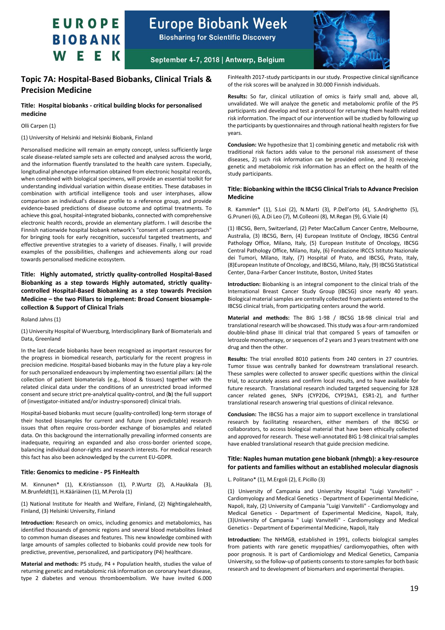

**Biosharing for Scientific Discovery** 



September 4-7, 2018 | Antwerp, Belgium

### <span id="page-18-0"></span>**Topic 7A: Hospital-Based Biobanks, Clinical Trials & Precision Medicine**

#### **Title: Hospital biobanks - critical building blocks for personalised medicine**

#### Olli Carpen (1)

(1) University of Helsinki and Helsinki Biobank, Finland

Personalised medicine will remain an empty concept, unless sufficiently large scale disease-related sample sets are collected and analysed across the world, and the information fluently translated to the health care system. Especially, longitudinal phenotype information obtained from electronic hospital records, when combined with biological specimens, will provide an essential toolkit for understanding individual variation within disease entities. These databases in combination with artificial intelligence tools and user interphases, allow comparison an individual's disease profile to a reference group, and provide evidence-based predictions of disease outcome and optimal treatments. To achieve this goal, hospital-integrated biobanks, connected with comprehensive electronic health records, provide an elementary platform. I will describe the Finnish nationwide hospital biobank network's "consent all comers approach" for bringing tools for early recognition, successful targeted treatments, and effective preventive strategies to a variety of diseases. Finally, I will provide examples of the possibilities, challenges and achievements along our road towards personalised medicine ecosystem.

**Title: Highly automated, strictly quality-controlled Hospital-Based Biobanking as a step towards Highly automated, strictly qualitycontrolled Hospital-Based Biobanking as a step towards Precision Medicine – the two Pillars to implement: Broad Consent biosamplecollection & Support of Clinical Trials**

Roland Jahns (1)

(1) University Hospital of Wuerzburg, Interdisciplinary Bank of Biomaterials and Data, Greenland

In the last decade biobanks have been recognized as important resources for the progress in biomedical research, particularly for the recent progress in precision medicine. Hospital-based biobanks may in the future play a key-role for such personalized endeavours by implementing two essential pillars: (**a**) the collection of patient biomaterials (e.g., blood & tissues) together with the related clinical data under the conditions of an unrestricted broad informed consent and secure strict pre-analytical quality-control, and (**b**) the full support of (investigator-initiated and/or industry-sponsored) clinical trials.

Hospital-based biobanks must secure (quality-controlled) long-term storage of their hosted biosamples for current and future (non predictable) research issues that often require cross-border exchange of biosamples and related data. On this background the internationally prevailing informed consents are inadequate, requiring an expanded and also cross-border oriented scope, balancing individual donor-rights and research interests. For medical research this fact has also been acknowledged by the current EU-GDPR.

#### **Title: Genomics to medicine - P5 FinHealth**

M. Kinnunen\* (1), K.Kristiansson (1), P.Wurtz (2), A.Haukkala (3), M.Brunfeldt(1), H.Kääriäinen (1), M.Perola (1)

(1) National Institute for Health and Welfare, Finland, (2) Nightingalehealth, Finland, (3) Helsinki University, Finland

**Introduction:** Research on omics, including genomics and metabolomics, has identified thousands of genomic regions and several blood metabolites linked to common human diseases and features. This new knowledge combined with large amounts of samples collected to biobanks could provide new tools for predictive, preventive, personalized, and participatory (P4) healthcare.

**Material and methods:** P5 study, P4 + Population health, studies the value of returning genetic and metabolomic risk information on coronary heart disease, type 2 diabetes and venous thromboembolism. We have invited 6.000

FinHealth 2017-study participants in our study. Prospective clinical significance of the risk scores will be analyzed in 30.000 Finnish individuals.

**Results:** So far, clinical utilization of omics is fairly small and, above all, unvalidated. We will analyze the genetic and metabolomic profile of the P5 participants and develop and test a protocol for returning them health related risk information. The impact of our intervention will be studied by following up the participants by questionnaires and through national health registers for five years.

**Conclusion:** We hypothesize that 1) combining genetic and metabolic risk with traditional risk factors adds value to the personal risk assessment of these diseases, 2) such risk information can be provided online, and 3) receiving genetic and metabolomic risk information has an effect on the health of the study participants.

#### **Title: Biobanking within the IBCSG Clinical Trials to Advance Precision Medicine**

R. Kammler\* (1), S.Loi (2), N.Marti (3), P.Dell'orto (4), S.Andrighetto (5), G.Pruneri (6), A.Di Leo (7), M.Colleoni (8), M.Regan (9), G.Viale (4)

(1) IBCSG, Bern, Switzerland, (2) Peter MacCallum Cancer Centre, Melbourne, Australia, (3) IBCSG, Bern, (4) European Institute of Onclogy, IBCSG Central Pathology Office, Milano, Italy, (5) European Institute of Oncology, IBCSG Central Pathology Office, Milano, Italy, (6) Fondazione IRCCS Istituto Nazionale dei Tumori, Milano, Italy, (7) Hospital of Prato, and IBCSG, Prato, Italy, (8)European Institute of Oncology, and IBCSG, Milano, Italy, (9) IBCSG Statistical Center, Dana-Farber Cancer Institute, Boston, United States

**Introduction:** Biobanking is an integral component to the clinical trials of the International Breast Cancer Study Group (IBCSG) since nearly 40 years. Biological material samples are centrally collected from patients entered to the IBCSG clinical trials, from participating centers around the world.

**Material and methods:** The BIG 1-98 / IBCSG 18-98 clinical trial and translational research will be showcased. This study was a four-arm randomized double-blind phase III clinical trial that compared 5 years of tamoxifen or letrozole monotherapy, or sequences of 2 years and 3 years treatment with one drug and then the other.

**Results:** The trial enrolled 8010 patients from 240 centers in 27 countries. Tumor tissue was centrally banked for downstream translational research. These samples were collected to answer specific questions within the clinical trial, to accurately assess and confirm local results, and to have available for future research. Translational research included targeted sequencing for 328 cancer related genes, SNPs (CYP2D6, CYP19A1, ESR1-2), and further translational research answering trial questions of clinical relevance.

**Conclusion:** The IBCSG has a major aim to support excellence in translational research by facilitating researchers, either members of the IBCSG or collaborators, to access biological material that have been ethically collected and approved for research. These well-annotated BIG 1-98 clinical trial samples have enabled translational research that guide precision medicine.

#### **Title: Naples human mutation gene biobank (nhmgb): a key-resource for patients and families without an established molecular diagnosis**

L. Politano\* (1), M.Ergoli (2), E.Picillo (3)

(1) University of Campania and University Hospital "Luigi Vanvitelli" - Cardiomyology and Medical Genetics - Department of Experimental Medicine, Napoli, Italy, (2) University of Campania "Luigi Vanvitelli" - Cardiomyology and Medical Genetics - Department of Experimental Medicine, Napoli, Italy, (3)University of Campania " Luigi Vanvitelli" - Cardiomyology and Medical Genetics - Department of Experimental Medicine, Napoli, Italy

**Introduction:** The NHMGB, established in 1991, collects biological samples from patients with rare genetic myopathies/ cardiomyopathies, often with poor prognosis. It is part of Cardiomiology and Medical Genetics, Campania University, so the follow-up of patients consents to store samples for both basic research and to development of biomarkers and experimental therapies.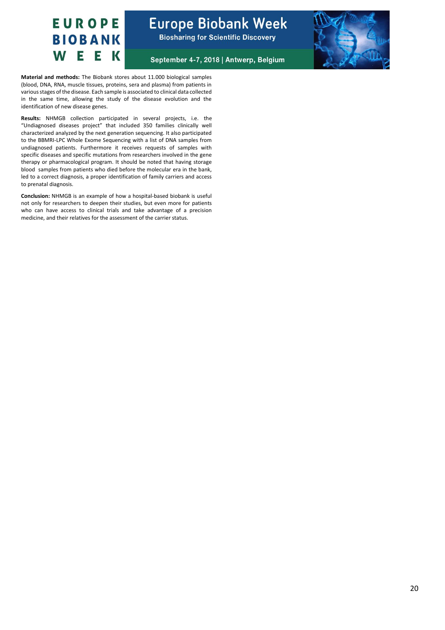



September 4-7, 2018 | Antwerp, Belgium

**Material and methods:** The Biobank stores about 11.000 biological samples (blood, DNA, RNA, muscle tissues, proteins, sera and plasma) from patients in various stages of the disease. Each sample is associated to clinical data collected in the same time, allowing the study of the disease evolution and the identification of new disease genes.

**Results:** NHMGB collection participated in several projects, i.e. the "Undiagnosed diseases project" that included 350 families clinically well characterized analyzed by the next generation sequencing. It also participated to the BBMRI-LPC Whole Exome Sequencing with a list of DNA samples from undiagnosed patients. Furthermore it receives requests of samples with specific diseases and specific mutations from researchers involved in the gene therapy or pharmacological program. It should be noted that having storage blood samples from patients who died before the molecular era in the bank, led to a correct diagnosis, a proper identification of family carriers and access to prenatal diagnosis.

**Conclusion:** NHMGB is an example of how a hospital-based biobank is useful not only for researchers to deepen their studies, but even more for patients who can have access to clinical trials and take advantage of a precision medicine, and their relatives for the assessment of the carrier status.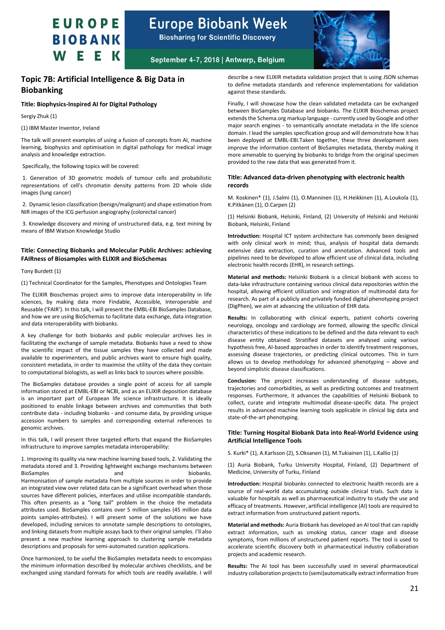

**Biosharing for Scientific Discovery** 



### September 4-7, 2018 | Antwerp, Belgium

### <span id="page-20-0"></span>**Topic 7B: Artificial Intelligence & Big Data in Biobanking**

#### **Title: Biophysics-Inspired AI for Digital Pathology**

Sergiy Zhuk (1)

(1) IBM Master Inventor, Ireland

The talk will present examples of using a fusion of concepts from AI, machine learning, biophysics and optimisation in digital pathology for medical image analysis and knowledge extraction.

Specifically, the following topics will be covered:

1. Generation of 3D geometric models of tumour cells and probabilistic representations of cell's chromatin density patterns from 2D whole slide images (lung cancer)

2. Dynamic lesion classification (benign/malignant) and shape estimation from NIR images of the ICG perfusion angiography (colorectal cancer)

3. Knowledge discovery and mining of unstructured data, e.g. text mining by means of IBM Watson Knowledge Studio

#### **Title: Connecting Biobanks and Molecular Public Archives: achieving FAIRness of Biosamples with ELIXIR and BioSchemas**

Tony Burdett (1)

(1) Technical Coordinator for the Samples, Phenotypes and Ontologies Team

The ELIXIR Bioschemas project aims to improve data interoperability in life sciences, by making data more Findable, Accessible, Interoperable and Reusable ('FAIR'). In this talk, I will present the EMBL-EBI BioSamples Database, and how we are using BioSchemas to facilitate data exchange, data integration and data interoperability with biobanks.

A key challenge for both biobanks and public molecular archives lies in facilitating the exchange of sample metadata. Biobanks have a need to show the scientific impact of the tissue samples they have collected and made available to experimenters, and public archives want to ensure high quality, consistent metadata, in order to maximise the utility of the data they contain to computational biologists, as well as links back to sources where possible.

The BioSamples database provides a single point of access for all sample information stored at EMBL-EBI or NCBI, and as an ELIXIR deposition database is an important part of European life science infrastructure. It is ideally positioned to enable linkage between archives and communities that both contribute data - including biobanks - and consume data, by providing unique accession numbers to samples and corresponding external references to genomic archives.

In this talk, I will present three targeted efforts that expand the BioSamples infrastructure to improve samples metadata interoperability:

1. Improving its quality via new machine learning based tools, 2. Validating the metadata stored and 3. Providing lightweight exchange mechanisms between BioSamples and and biobanks. Harmonisation of sample metadata from multiple sources in order to provide an integrated view over related data can be a significant overhead when those sources have different policies, interfaces and utilise incompatible standards. This often presents as a "long tail" problem in the choice the metadata attributes used. BioSamples contains over 5 million samples (45 million data points samples-attributes). I will present some of the solutions we have developed, including services to annotate sample descriptions to ontologies, and linking datasets from multiple assays back to their original samples. I'll also present a new machine learning approach to clustering sample metadata descriptions and proposals for semi-automated curation applications.

Once harmonized, to be useful the BioSamples metadata needs to encompass the minimum information described by molecular archives checklists, and be exchanged using standard formats for which tools are readily available. I will describe a new ELIXIR metadata validation project that is using JSON schemas to define metadata standards and reference implementations for validation against these standards.

Finally, I will showcase how the clean validated metadata can be exchanged between BioSamples Database and biobanks. The ELIXIR Bioschemas project extends the Schema.org markup language - currently used by Google and other major search engines - to semantically annotate metadata in the life science domain. I lead the samples specification group and will demonstrate how it has been deployed at EMBL-EBI.Taken together, these three development axes improve the information content of BioSamples metadata, thereby making it more amenable to querying by biobanks to bridge from the original specimen provided to the raw data that was generated from it.

#### **Title: Advanced data-driven phenotyping with electronic health records**

M. Koskinen\* (1), J.Salmi (1), O.Manninen (1), H.Heikkinen (1), A.Loukola (1), K.Pitkänen (1), O.Carpen (2)

(1) Helsinki Biobank, Helsinki, Finland, (2) University of Helsinki and Helsinki Biobank, Helsinki, Finland

**Introduction:** Hospital ICT system architecture has commonly been designed with only clinical work in mind; thus, analysis of hospital data demands extensive data extraction, curation and annotation. Advanced tools and pipelines need to be developed to allow efficient use of clinical data, including electronic health records (EHR), in research settings.

**Material and methods:** Helsinki Biobank is a clinical biobank with access to data-lake infrastructure containing various clinical data repositories within the hospital, allowing efficient utilization and integration of multimodal data for research. As part of a publicly and privately funded digital phenotyping project (DigPhen), we aim at advancing the utilization of EHR data.

**Results:** In collaborating with clinical experts, patient cohorts covering neurology, oncology and cardiology are formed, allowing the specific clinical characteristics of these indications to be defined and the data relevant to each disease entity obtained. Stratified datasets are analysed using various hypothesis free, AI-based approaches in order to identify treatment responses, assessing disease trajectories, or predicting clinical outcomes. This in turn allows us to develop methodology for advanced phenotyping – above and beyond simplistic disease classifications.

**Conclusion:** The project increases understanding of disease subtypes, trajectories and comorbidities, as well as predicting outcomes and treatment responses. Furthermore, it advances the capabilities of Helsinki Biobank to collect, curate and integrate multimodal disease-specific data. The project results in advanced machine learning tools applicable in clinical big data and state-of-the-art phenotyping.

#### **Title: Turning Hospital Biobank Data into Real-World Evidence using Artificial Intelligence Tools**

S. Kurki\* (1), A.Karlsson (2), S.Oksanen (1), M.Tukiainen (1), L.Kallio (1)

(1) Auria Biobank, Turku University Hospital, Finland, (2) Department of Medicine, University of Turku, Finland

**Introduction:** Hospital biobanks connected to electronic health records are a source of real-world data accumulating outside clinical trials. Such data is valuable for hospitals as well as pharmaceutical industry to study the use and efficacy of treatments. However, artificial intelligence (AI) tools are required to extract information from unstructured patient reports.

**Material and methods:** Auria Biobank has developed an AI tool that can rapidly extract information, such as smoking status, cancer stage and disease symptoms, from millions of unstructured patient reports. The tool is used to accelerate scientific discovery both in pharmaceutical industry collaboration projects and academic research.

**Results:** The AI tool has been successfully used in several pharmaceutical industry collaboration projects to (semi)automatically extract information from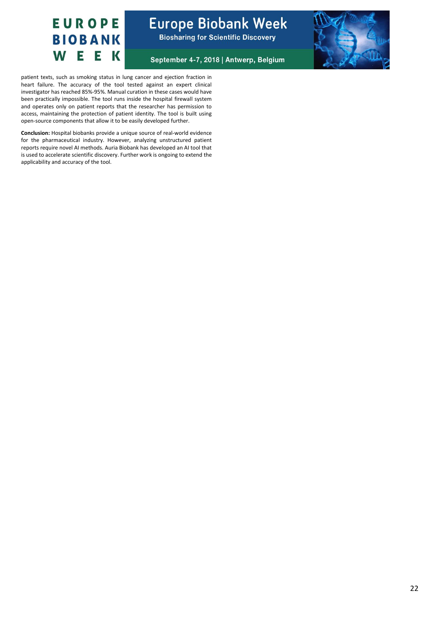



September 4-7, 2018 | Antwerp, Belgium



patient texts, such as smoking status in lung cancer and ejection fraction in heart failure. The accuracy of the tool tested against an expert clinical investigator has reached 85%-95%. Manual curation in these cases would have been practically impossible. The tool runs inside the hospital firewall system and operates only on patient reports that the researcher has permission to access, maintaining the protection of patient identity. The tool is built using open-source components that allow it to be easily developed further.

**Conclusion:** Hospital biobanks provide a unique source of real-world evidence for the pharmaceutical industry. However, analyzing unstructured patient reports require novel AI methods. Auria Biobank has developed an AI tool that is used to accelerate scientific discovery. Further work is ongoing to extend the applicability and accuracy of the tool.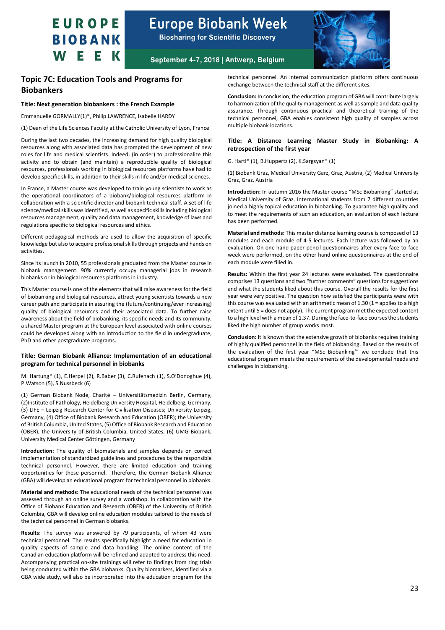

**Biosharing for Scientific Discovery** 



September 4-7, 2018 | Antwerp, Belgium

### <span id="page-22-0"></span>**Topic 7C: Education Tools and Programs for Biobankers**

#### **Title: Next generation biobankers : the French Example**

Emmanuelle GORMALLY(1)\*, Philip LAWRENCE, Isabelle HARDY

(1) Dean of the Life Sciences Faculty at the Catholic University of Lyon, France

During the last two decades, the increasing demand for high quality biological resources along with associated data has prompted the development of new roles for life and medical scientists. Indeed, (in order) to professionalize this activity and to obtain (and maintain) a reproducible quality of biological resources, professionals working in biological resources platforms have had to develop specific skills, in addition to their skills in life and/or medical sciences.

In France, a Master course was developed to train young scientists to work as the operational coordinators of a biobank/biological resources platform in collaboration with a scientific director and biobank technical staff. A set of life science/medical skills was identified, as well as specific skills including biological resources management, quality and data management, knowledge of laws and regulations specific to biological resources and ethics.

Different pedagogical methods are used to allow the acquisition of specific knowledge but also to acquire professional skills through projects and hands on activities.

Since its launch in 2010, 55 professionals graduated from the Master course in biobank management. 90% currently occupy managerial jobs in research biobanks or in biological resources platforms in industry.

This Master course is one of the elements that will raise awareness for the field of biobanking and biological resources, attract young scientists towards a new career path and participate in assuring the (future/continuing/ever increasing) quality of biological resources and their associated data. To further raise awareness about the field of biobanking, its specific needs and its community, a shared Master program at the European level associated with online courses could be developed along with an introduction to the field in undergraduate, PhD and other postgraduate programs.

#### **Title: German Biobank Alliance: Implementation of an educational program for technical personnel in biobanks**

M. Hartung\* (1), E.Herpel (2), R.Baber (3), C.Rufenach (1), S.O'Donoghue (4), P.Watson (5), S.Nussbeck (6)

(1) German Biobank Node, Charité – Universitätsmedizin Berlin, Germany, (2)Institute of Pathology, Heidelberg University Hospital, Heidelberg, Germany, (3) LIFE – Leipzig Research Center for Civilisation Diseases; University Leipzig, Germany, (4) Office of Biobank Research and Education (OBER); the University of British Columbia, United States, (5) Office of Biobank Research and Education (OBER), the University of British Columbia, United States, (6) UMG Biobank, University Medical Center Göttingen, Germany

**Introduction:** The quality of biomaterials and samples depends on correct implementation of standardized guidelines and procedures by the responsible technical personnel. However, there are limited education and training opportunities for these personnel. Therefore, the German Biobank Alliance (GBA) will develop an educational program for technical personnel in biobanks.

**Material and methods:** The educational needs of the technical personnel was assessed through an online survey and a workshop. In collaboration with the Office of Biobank Education and Research (OBER) of the University of British Columbia, GBA will develop online education modules tailored to the needs of the technical personnel in German biobanks.

**Results:** The survey was answered by 79 participants, of whom 43 were technical personnel. The results specifically highlight a need for education in quality aspects of sample and data handling. The online content of the Canadian education platform will be refined and adapted to address this need. Accompanying practical on-site trainings will refer to findings from ring trials being conducted within the GBA biobanks. Quality biomarkers, identified via a GBA wide study, will also be incorporated into the education program for the

technical personnel. An internal communication platform offers continuous exchange between the technical staff at the different sites.

**Conclusion:** In conclusion, the education program of GBA will contribute largely to harmonization of the quality management as well as sample and data quality assurance. Through continuous practical and theoretical training of the technical personnel, GBA enables consistent high quality of samples across multiple biobank locations.

#### **Title: A Distance Learning Master Study in Biobanking: A retrospection of the first year**

G. Hartl\* (1), B.Huppertz (2), K.Sargsyan\* (1)

(1) Biobank Graz, Medical University Garz, Graz, Austria, (2) Medical University Graz, Graz, Austria

**Introduction:** In autumn 2016 the Master course "MSc Biobanking" started at Medical University of Graz. International students from 7 different countries joined a highly topical education in biobanking. To guarantee high quality and to meet the requirements of such an education, an evaluation of each lecture has been performed.

**Material and methods:** This master distance learning course is composed of 13 modules and each module of 4-5 lectures. Each lecture was followed by an evaluation. On one hand paper pencil questionnaires after every face-to-face week were performed, on the other hand online questionnaires at the end of each module were filled in.

**Results:** Within the first year 24 lectures were evaluated. The questionnaire comprises 13 questions and two "further comments" questions for suggestions and what the students liked about this course. Overall the results for the first year were very positive. The question how satisfied the participants were with this course was evaluated with an arithmetic mean of  $1.30$  ( $1$  = applies to a high extent until 5 = does not apply). The current program met the expected content to a high level with a mean of 1.37. During the face-to-face courses the students liked the high number of group works most.

**Conclusion:** It is known that the extensive growth of biobanks requires training of highly qualified personnel in the field of biobanking. Based on the results of the evaluation of the first year "MSc Biobanking'" we conclude that this educational program meets the requirements of the developmental needs and challenges in biobanking.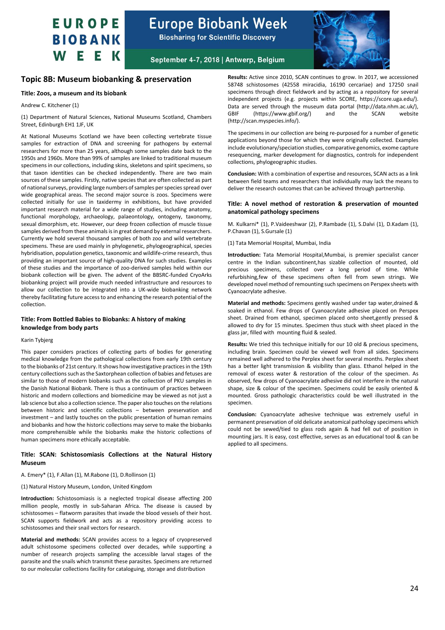## **Europe Biobank Week**

**Biosharing for Scientific Discovery** 



September 4-7, 2018 | Antwerp, Belgium

### <span id="page-23-0"></span>**Topic 8B: Museum biobanking & preservation**

#### **Title: Zoos, a museum and its biobank**

Andrew C. Kitchener (1)

(1) Department of Natural Sciences, National Museums Scotland, Chambers Street, Edinburgh EH1 1JF, UK

At National Museums Scotland we have been collecting vertebrate tissue samples for extraction of DNA and screening for pathogens by external researchers for more than 25 years, although some samples date back to the 1950s and 1960s. More than 99% of samples are linked to traditional museum specimens in our collections, including skins, skeletons and spirit specimens, so that taxon identities can be checked independently. There are two main sources of these samples. Firstly, native species that are often collected as part of national surveys, providing large numbers of samples per species spread over wide geographical areas. The second major source is zoos. Specimens were collected initially for use in taxidermy in exhibitions, but have provided important research material for a wide range of studies, including anatomy, functional morphology, archaeology, palaeontology, ontogeny, taxonomy, sexual dimorphism, etc. However, our deep frozen collection of muscle tissue samples derived from these animals is in great demand by external researchers. Currently we hold several thousand samples of both zoo and wild vertebrate specimens. These are used mainly in phylogenetic, phylogeographical, species hybridisation, population genetics, taxonomic and wildlife-crime research, thus providing an important source of high-quality DNA for such studies. Examples of these studies and the importance of zoo-derived samples held within our biobank collection will be given. The advent of the BBSRC-funded CryoArks biobanking project will provide much needed infrastructure and resources to allow our collection to be integrated into a UK-wide biobanking network thereby facilitating future access to and enhancing the research potential of the collection.

#### **Title: From Bottled Babies to Biobanks: A history of making knowledge from body parts**

#### Karin Tybjerg

This paper considers practices of collecting parts of bodies for generating medical knowledge from the pathological collections from early 19th century to the biobanks of 21st century. It shows how investigative practices in the 19th century collections such as the Saxtorphean collection of babies and fetuses are similar to those of modern biobanks such as the collection of PKU samples in the Danish National Biobank. There is thus a continuum of practices between historic and modern collections and biomedicine may be viewed as not just a lab science but also a collection science. The paper also touches on the relations between historic and scientific collections – between preservation and investment – and lastly touches on the public presentation of human remains and biobanks and how the historic collections may serve to make the biobanks more comprehensible while the biobanks make the historic collections of human specimens more ethically acceptable.

#### **Title: SCAN: Schistosomiasis Collections at the Natural History Museum**

A. Emery\* (1), F.Allan (1), M.Rabone (1), D.Rollinson (1)

(1) Natural History Museum, London, United Kingdom

**Introduction:** Schistosomiasis is a neglected tropical disease affecting 200 million people, mostly in sub-Saharan Africa. The disease is caused by schistosomes – flatworm parasites that invade the blood vessels of their host. SCAN supports fieldwork and acts as a repository providing access to schistosomes and their snail vectors for research.

**Material and methods:** SCAN provides access to a legacy of cryopreserved adult schistosome specimens collected over decades, while supporting a number of research projects sampling the accessible larval stages of the parasite and the snails which transmit these parasites. Specimens are returned to our molecular collections facility for cataloguing, storage and distribution

**Results:** Active since 2010, SCAN continues to grow. In 2017, we accessioned 58748 schistosomes (42558 miracidia, 16190 cercariae) and 17250 snail specimens through direct fieldwork and by acting as a repository for several independent projects (e.g. projects within SCORE, https://score.uga.edu/). Data are served through the museum data portal (http://data.nhm.ac.uk/),<br>GBIF (https://www.gbif.org/) and the SCAN website (https://www.gbif.org/) (http://scan.myspecies.info/).

The specimens in our collection are being re-purposed for a number of genetic applications beyond those for which they were originally collected. Examples include evolutionary/speciation studies, comparative genomics, exome capture resequencing, marker development for diagnostics, controls for independent collections, phylogeographic studies.

**Conclusion:** With a combination of expertise and resources, SCAN acts as a link between field teams and researchers that individually may lack the means to deliver the research outcomes that can be achieved through partnership.

#### **Title: A novel method of restoration & preservation of mounted anatomical pathology specimens**

M. Kulkarni\* (1), P.Vaideeshwar (2), P.Rambade (1), S.Dalvi (1), D.Kadam (1), P.Chavan (1), S.Gursale (1)

(1) Tata Memorial Hospital, Mumbai, India

**Introduction:** Tata Memorial Hospital,Mumbai, is premier specialist cancer centre in the Indian subcontinent,has sizable collection of mounted, old precious specimens, collected over a long period of time. While refurbishing,few of these specimens often fell from sewn strings. We developed novel method of remounting such specimens on Perspex sheets with Cyanoacrylate adhesive.

**Material and methods:** Specimens gently washed under tap water,drained & soaked in ethanol. Few drops of Cyanoacrylate adhesive placed on Perspex sheet. Drained from ethanol, specimen placed onto sheet,gently pressed & allowed to dry for 15 minutes. Specimen thus stuck with sheet placed in the glass jar, filled with mounting fluid & sealed.

**Results:** We tried this technique initially for our 10 old & precious specimens, including brain. Specimen could be viewed well from all sides. Specimens remained well adhered to the Perplex sheet for several months. Perplex sheet has a better light transmission & visibility than glass. Ethanol helped in the removal of excess water & restoration of the colour of the specimen. As observed, few drops of Cyanoacrylate adhesive did not interfere in the natural shape, size & colour of the specimen. Specimens could be easily oriented & mounted. Gross pathologic characteristics could be well illustrated in the specimen.

**Conclusion:** Cyanoacrylate adhesive technique was extremely useful in permanent preservation of old delicate anatomical pathology specimens which could not be sewed/tied to glass rods again & had fell out of position in mounting jars. It is easy, cost effective, serves as an educational tool & can be applied to all specimens.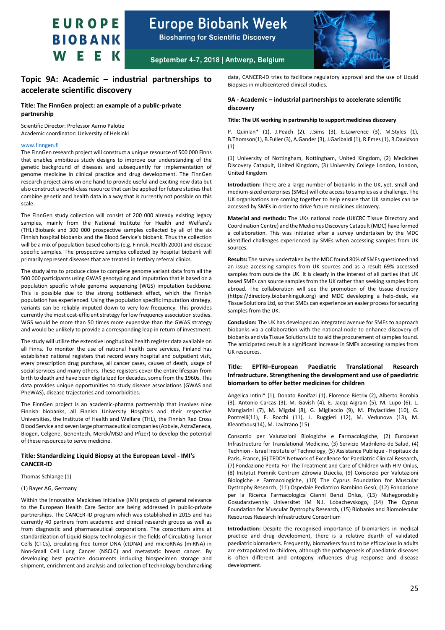

**Biosharing for Scientific Discovery** 



September 4-7, 2018 | Antwerp, Belgium

### <span id="page-24-0"></span>**Topic 9A: Academic – industrial partnerships to accelerate scientific discovery**

#### **Title: The FinnGen project: an example of a public-private partnership**

Scientific Director: Professor Aarno Palotie Academic coordinator: University of Helsinki

#### [www.finngen.fi](http://www.finngen.fi/)

The FinnGen research project will construct a unique resource of 500 000 Finns that enables ambitious study designs to improve our understanding of the genetic background of diseases and subsequently for implementation of genome medicine in clinical practice and drug development. The FinnGen research project aims on one hand to provide useful and exciting new data but also construct a world-class resource that can be applied for future studies that combine genetic and health data in a way that is currently not possible on this scale.

The FinnGen study collection will consist of 200 000 already existing legacy samples, mainly from the National Institute for Health and Welfare's (THL) Biobank and 300 000 prospective samples collected by all of the six Finnish hospital biobanks and the Blood Service's biobank. Thus the collection will be a mix of population based cohorts (e.g. Finrisk, Health 2000) and disease specific samples. The prospective samples collected by hospital biobank will primarily represent diseases that are treated in tertiary referral clinics.

The study aims to produce close to complete genome variant data from all the 500 000 participants using GWAS genotyping and imputation that is based on a population specific whole genome sequencing (WGS) imputation backbone. This is possible due to the strong bottleneck effect, which the Finnish population has experienced. Using the population specific imputation strategy, variants can be reliably imputed down to very low frequency. This provides currently the most cost-efficient strategy for low frequency association studies. WGS would be more than 50 times more expensive than the GWAS strategy and would be unlikely to provide a corresponding leap in return of investment.

The study will utilize the extensive longitudinal health register data available on all Finns. To monitor the use of national health care services, Finland has established national registers that record every hospital and outpatient visit, every prescription drug purchase, all cancer cases, causes of death, usage of social services and many others. These registers cover the entire lifespan from birth to death and have been digitalized for decades, some from the 1960s. This data provides unique opportunities to study disease associations (GWAS and PheWAS), disease trajectories and comorbidities.

The FinnGen project is an academic-pharma partnership that involves nine Finnish biobanks, all Finnish University Hospitals and their respective Universities, the Institute of Health and Welfare (THL), the Finnish Red Cross Blood Service and seven large pharmaceutical companies (Abbvie, AstraZeneca, Biogen, Celgene, Genentech, Merck/MSD and Pfizer) to develop the potential of these resources to serve medicine.

#### **Title: Standardizing Liquid Biopsy at the European Level - IMI's CANCER-ID**

#### Thomas Schlange (1)

#### (1) Bayer AG, Germany

Within the Innovative Medicines Initiative (IMI) projects of general relevance to the European Health Care Sector are being addressed in public-private partnerships. The CANCER-ID program which was established in 2015 and has currently 40 partners from academic and clinical research groups as well as from diagnostic and pharmaceutical corporations. The consortium aims at standardization of Liquid Biopsy technologies in the fields of Circulating Tumor Cells (CTCs), circulating free tumor DNA (ctDNA) and microRNAs (miRNA) in Non-Small Cell Lung Cancer (NSCLC) and metastatic breast cancer. By developing best practice documents including biospecimen storage and shipment, enrichment and analysis and collection of technology benchmarking data, CANCER-ID tries to facilitate regulatory approval and the use of Liquid Biopsies in multicentered clinical studies.

#### **9A - Academic – industrial partnerships to accelerate scientific discovery**

#### **Title: The UK working in partnership to support medicines discovery**

P. Quinlan\* (1), J.Peach (2), J.Sims (3), E.Lawrence (3), M.Styles (1), B.Thomson(1), B.Fuller (3), A.Gander (3), J.Garibaldi (1), R.Emes(1), B.Davidson (1)

(1) University of Nottingham, Nottingham, United Kingdom, (2) Medicines Discovery Catapult, United Kingdom, (3) University College London, London, United Kingdom

**Introduction:** There are a large number of biobanks in the UK, yet, small and medium-sized enterprises (SMEs) will cite access to samples as a challenge. The UK organisations are coming together to help ensure that UK samples can be accessed by SMEs in order to drive future medicines discovery.

**Material and methods:** The UKs national node (UKCRC Tissue Directory and Coordination Centre) and the Medicines Discovery Catapult (MDC) have formed a collaboration. This was initiated after a survey undertaken by the MDC identified challenges experienced by SMEs when accessing samples from UK sources.

**Results:** The survey undertaken by the MDC found 80% of SMEs questioned had an issue accessing samples from UK sources and as a result 69% accessed samples from outside the UK. It is clearly in the interest of all parties that UK based SMEs can source samples from the UK rather than seeking samples from abroad. The collaboration will see the promotion of the tissue directory (https://directory.biobankinguk.org) and MDC developing a help-desk, via Tissue Solutions Ltd, so that SMEs can experience an easier process for securing samples from the UK.

**Conclusion:** The UK has developed an integrated avenue for SMEs to approach biobanks via a collaboration with the national node to enhance discovery of biobanks and via Tissue Solutions Ltd to aid the procurement of samples found. The anticipated result is a significant increase in SMEs accessing samples from UK resources.

#### **Title: EPTRI–European Paediatric Translational Research Infrastructure. Strengthening the development and use of paediatric biomarkers to offer better medicines for children**

Angelica Intini\* (1), Donato Bonifazi (1), Florence Bietrix (2), Alberto Borobia (3), Antonio Carcas (3), M. Gavish (4), E. Jacqz-Aigrain (5), M. Lupo (6), L. Mangiarini (7), M. Migdal (8), G. Migliaccio (9), M. Phylactides (10), G. Pontrelli(11), F. Rocchi (11), L. Ruggieri (12), M. Vedunova (13), M. Kleanthous(14), M. Lavitrano (15)

Consorzio per Valutazioni Biologiche e Farmacologiche, (2) European Infrastructure for Translational Medicine, (3) Servicio Madrileno de Salud, (4) Technion - Israel Institute of Technology, (5) Assistance Publique - Hopitaux de Paris, France, (6) TEDDY Network of Excellence for Paediatric Clinical Research, (7) Fondazione Penta-For The Treatment and Care of Children with HIV-Onlus, (8) Instytut Pomnik Centrum Zdrowia Dziecka, (9) Consorzio per Valutazioni Biologiche e Farmacologiche, (10) The Cyprus Foundation for Muscular Dystrophy Research, (11) Ospedale Pediatrico Bambino Gesù, (12) Fondazione per la Ricerca Farmacologica Gianni Benzi Onlus, (13) Nizhegorodskiy Gosudarstvenniy Universitet IM N.I. Lobachevskogo, (14) The Cyprus Foundation for Muscular Dystrophy Research, (15) Biobanks and Biomolecular Resources Research Infrastructure Consortium

**Introduction:** Despite the recognised importance of biomarkers in medical practice and drug development, there is a relative dearth of validated paediatric biomarkers. Frequently, biomarkers found to be efficacious in adults are extrapolated to children, although the pathogenesis of paediatric diseases is often different and ontogeny influences drug response and disease development.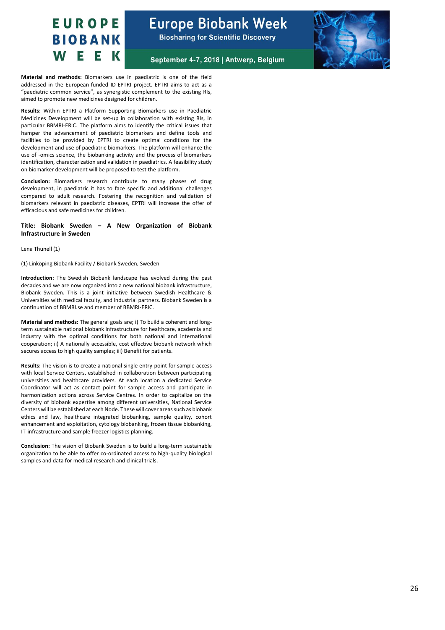September 4-7, 2018 | Antwerp, Belgium



**Material and methods:** Biomarkers use in paediatric is one of the field addressed in the European-funded ID-EPTRI project. EPTRI aims to act as a "paediatric common service", as synergistic complement to the existing RIs, aimed to promote new medicines designed for children.

**Results:** Within EPTRI a Platform Supporting Biomarkers use in Paediatric Medicines Development will be set-up in collaboration with existing RIs, in particular BBMRI-ERIC. The platform aims to identify the critical issues that hamper the advancement of paediatric biomarkers and define tools and facilities to be provided by EPTRI to create optimal conditions for the development and use of paediatric biomarkers. The platform will enhance the use of -omics science, the biobanking activity and the process of biomarkers identification, characterization and validation in paediatrics. A feasibility study on biomarker development will be proposed to test the platform.

**Conclusion:** Biomarkers research contribute to many phases of drug development, in paediatric it has to face specific and additional challenges compared to adult research. Fostering the recognition and validation of biomarkers relevant in paediatric diseases, EPTRI will increase the offer of efficacious and safe medicines for children.

#### **Title: Biobank Sweden – A New Organization of Biobank Infrastructure in Sweden**

Lena Thunell (1)

(1) Linköping Biobank Facility / Biobank Sweden, Sweden

**Introduction:** The Swedish Biobank landscape has evolved during the past decades and we are now organized into a new national biobank infrastructure, Biobank Sweden. This is a joint initiative between Swedish Healthcare & Universities with medical faculty, and industrial partners. Biobank Sweden is a continuation of BBMRI.se and member of BBMRI-ERIC.

**Material and methods:** The general goals are; i) To build a coherent and longterm sustainable national biobank infrastructure for healthcare, academia and industry with the optimal conditions for both national and international cooperation; ii) A nationally accessible, cost effective biobank network which secures access to high quality samples; iii) Benefit for patients.

**Results:** The vision is to create a national single entry-point for sample access with local Service Centers, established in collaboration between participating universities and healthcare providers. At each location a dedicated Service Coordinator will act as contact point for sample access and participate in harmonization actions across Service Centres. In order to capitalize on the diversity of biobank expertise among different universities, National Service Centers will be established at each Node. These will cover areas such as biobank ethics and law, healthcare integrated biobanking, sample quality, cohort enhancement and exploitation, cytology biobanking, frozen tissue biobanking, IT-infrastructure and sample freezer logistics planning.

**Conclusion:** The vision of Biobank Sweden is to build a long-term sustainable organization to be able to offer co-ordinated access to high-quality biological samples and data for medical research and clinical trials.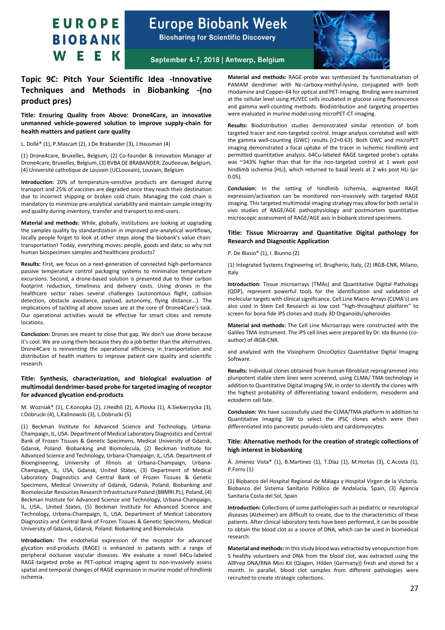**Europe Biobank Week** 

**Biosharing for Scientific Discovery** 



September 4-7, 2018 | Antwerp, Belgium

### <span id="page-26-0"></span>**Topic 9C: Pitch Your Scientific Idea -Innovative Techniques and Methods in Biobanking -(no product pres)**

**Title: Ensuring Quality from Above: Drone4Care, an innovative unmanned vehicle-powered solution to improve supply-chain for health matters and patient care quality**

L. Dollé\* (1), P.Mascart (2), J.De Brabander (3), J.Hausman (4)

(1) Drone4care, Bruxelles, Belgium, (2) Co-founder & Innovation Manager at Drone4care, Bruxelles, Belgium, (3) BVBA DE BRABANDER, Zoutleeuw, Belgium, (4) Université catholique de Louvain (UCLouvain), Louvain, Belgium

**Introduction:** 20% of temperature-sensitive products are damaged during transport and 25% of vaccines are degraded once they reach their destination due to incorrect shipping or broken cold chain. Managing the cold chain is mandatory to minimize pre-analytical variability and maintain sample integrity and quality during inventory, transfer and transport to end-users.

**Material and methods:** While, globally, institutions are looking at upgrading the samples quality by standardization in improved pre-analytical workflows, locally people forget to look at other steps along the biobank's value chain: transportation! Today, everything moves: people, goods and data; so why not human biospecimen samples and healthcare products?

**Results:** First, we focus on a next-generation of connected high-performance passive temperature control packaging systems to minimalize temperature excursions. Second, a drone-based solution is presented due to their carbon footprint reduction, timeliness and delivery costs. Using drones in the healthcare sector raises several challenges (autonomous flight, collision detection, obstacle avoidance, payload, autonomy, flying distance...). The implications of tackling all above issues are at the core of Drone4Care's task. Our operational activities would be effective for smart cities and remote **locations** 

**Conclusion:** Drones are meant to close that gap. We don't use drone because it's cool. We are using them because they do a job better than the alternatives. Drone4Care is reinventing the operational efficiency in transportation and distribution of health matters to improve patient care quality and scientific research.

#### **Title: Synthesis, characterization, and biological evaluation of multimodal dendrimer-based probe for targeted imaging of receptor for advanced glycation end-products**

M. Wozniak\* (1), C.Konopka (2), J.Hedhli (2), A.Ploska (1), A.Siekierzycka (3), I.Dobrucki (4), L.Kalinowski (3), L.Dobrucki (5)

(1) Beckman Institute for Advanced Science and Technology, Urbana-Champaign, IL, USA. Department of Medical Laboratory Diagnostics and Central Bank of Frozen Tissues & Genetic Specimens, Medical University of Gdansk, Gdansk, Poland. Biobanking and Biomolecula, (2) Beckman Institute for Advanced Science and Technology, Urbana-Champaign, IL, USA. Department of Bioengineering, University of Illinois at Urbana-Champaign, Urbana-Champaign, IL, USA, Gdansk, United States, (3) Department of Medical Laboratory Diagnostics and Central Bank of Frozen Tissues & Genetic Specimens, Medical University of Gdansk, Gdansk, Poland. Biobanking and Biomolecular Resources Research Infrastructure Poland (BBMRI.PL), Poland, (4) Beckman Institute for Advanced Science and Technology, Urbana-Champaign, IL, USA., United States, (5) Beckman Institute for Advanced Science and Technology, Urbana-Champaign, IL, USA. Department of Medical Laboratory Diagnostics and Central Bank of Frozen Tissues & Genetic Specimens, Medical University of Gdansk, Gdansk, Poland. Biobanking and Biomolecula

**Introduction:** The endothelial expression of the receptor for advanced glycation end-products (RAGE) is enhanced in patients with a range of peripheral occlusive vascular diseases. We evaluate a novel 64Cu-labeled RAGE-targeted probe as PET-optical imaging agent to non-invasively assess spatial and temporal changes of RAGE expression in murine model of hindlimb ischemia.

**Material and methods:** RAGE-probe was synthesized by functionalization of PAMAM dendrimer with Nε-carboxy-methyl-lysine, conjugated with both rhodamine and Copper-64 for optical and PET-imaging. Binding were examined at the cellular level using HUVEC cells incubated in glucose using fluorescence and gamma well-counting methods. Biodistribution and targeting properties were evaluated in murine model using microPET-CT-imaging.

**Results:** Biodistribution studies demonstrated similar retention of both targeted tracer and non-targeted control. Image analysis correlated well with the gamma well-counting (GWC) results (r2=0.63). Both GWC and microPET imaging demonstrated a focal uptake of the tracer in ischemic hindlimb and permitted quantitative analysis. 64Cu-labeled RAGE targeted probe's uptake was ~343% higher than that for the non-targeted control at 1 week post hindlimb ischemia (HLi), which returned to basal levels at 2 wks post HLi (p< 0.05).

**Conclusion:** In the setting of hindlimb ischemia, augmented RAGE expression/activation can be monitored non-invasively with targeted RAGE imaging. This targeted multimodal imaging strategy may allow for both serial in vivo studies of RAGE/AGE pathophysiology and postmortem quantitative microscopic assessment of RAGE/AGE axis in biobank stored specimens.

#### **Title: Tissue Microarray and Quantitative Digital pathology for Research and Diagnostic Application**

P. De Blasio\* (1), I. Biunno (2)

(1) Integrated Systems Engineering srl, Brugherio, Italy, (2) IRGB-CNR, Milano, Italy

**Introduction:** Tissue microarrays (TMAs) and Quantitative Digital Pathology (QDP), represent powerful tools for the identification and validation of molecular targets with clinical significance. Cell Line Macro Arrays (CLMA's) are also used in Stem Cell Research as low cost "high-throughput platform" to screen for bona fide iPS clones and study 3D Organoids/spheroides

**Material and methods:** The Cell Line Microarrays were constructed with the Galileo TMA instrument. The iPS cell lines were prepared by Dr. Ida Biunno (coauthor) of IRGB-CNR.

and analyzed with the Visiopharm OncoOptics Quantitative Digital Imaging Software.

**Results:** Individual clones obtained from human fibroblast reprogrammed into pluripotent stable stem lines were screened, using CLMA/ TMA technology in addition to Quantitative Digital Imaging SW, in order to identify the clones with the highest probability of differentiating toward endoderm, mesoderm and ectoderm cell fate.

**Conclusion:** We have successfully used the CLMA/TMA platform in addition to Quantitative Imaging SW to select the iPSC clones which were then differentiated into pancreatic pseudo-islets and cardiomyocytes.

#### **Title: Alternative methods for the creation of strategic collections of high interest in biobanking**

Á. Jimenez Vista\* (1), B.Martinez (1), T.Díaz (1), M.Hortas (3), C.Acosta (1), P.Ferro (1)

(1) Biobanco del Hospital Regional de Málaga y Hospital Virgen de la Victoria. Biobanco del Sistema Sanitario Público de Andalucía, Spain, (3) Agencia Sanitaria Costa del Sol, Spain

**Introduction:** Collections of some pathologies such as pediatric or neurological diseases (Alzheimer) are difficult to create, due to the characteristics of these patients. After clinical laboratory tests have been performed, it can be possible to obtain the blood clot as a source of DNA, which can be used in biomedical research.

**Material and methods:** In this study blood was extracted by venopunction from 5 healthy volunteers and DNA from the blood clot, was extracted using the AllPrep DNA/RNA Mini Kit (Qiagen, Hilden (Germany)) fresh and stored for a month. In parallel, blood clot samples from different pathologies were recruited to create strategic collections.